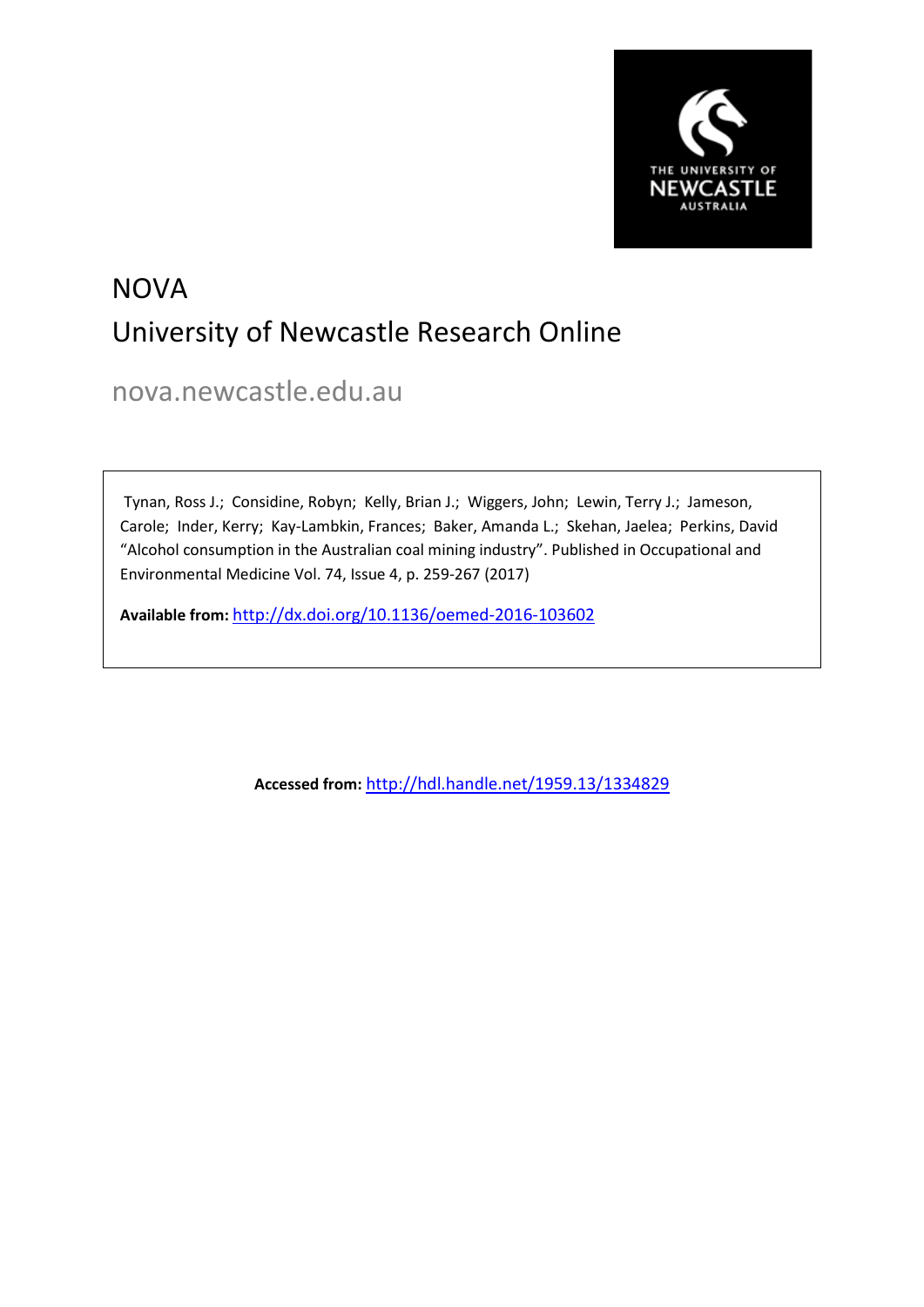

# **NOVA** University of Newcastle Research Online

nova.newcastle.edu.au

Tynan, Ross J.; Considine, Robyn; Kelly, Brian J.; Wiggers, John; Lewin, Terry J.; Jameson, Carole; Inder, Kerry; Kay-Lambkin, Frances; Baker, Amanda L.; Skehan, Jaelea; Perkins, David "Alcohol consumption in the Australian coal mining industry". Published in Occupational and Environmental Medicine Vol. 74, Issue 4, p. 259-267 (2017)

**Available from:** <http://dx.doi.org/10.1136/oemed-2016-103602>

**Accessed from:** <http://hdl.handle.net/1959.13/1334829>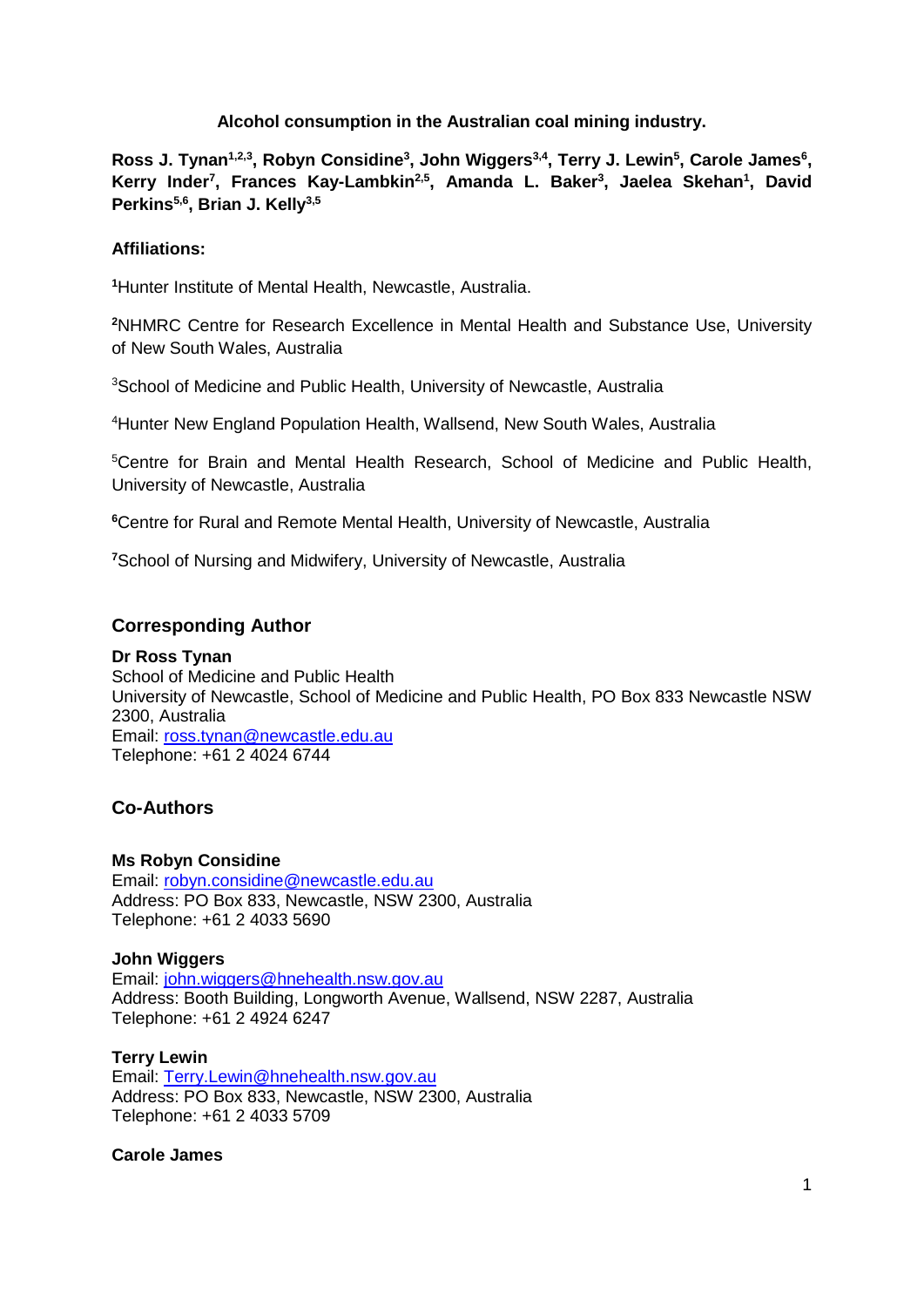## **Alcohol consumption in the Australian coal mining industry.**

Ross J. Tynan<sup>1,2,3</sup>, Robyn Considine<sup>3</sup>, John Wiggers<sup>3,4</sup>, Terry J. Lewin<sup>5</sup>, Carole James<sup>6</sup>, Kerry Inder<sup>7</sup>, Frances Kay-Lambkin<sup>2,5</sup>, Amanda L. Baker<sup>3</sup>, Jaelea Skehan<sup>1</sup>, David **Perkins5,6, Brian J. Kelly3,5**

## **Affiliations:**

**1** Hunter Institute of Mental Health, Newcastle, Australia.

**2** NHMRC Centre for Research Excellence in Mental Health and Substance Use, University of New South Wales, Australia

3 School of Medicine and Public Health, University of Newcastle, Australia

4 Hunter New England Population Health, Wallsend, New South Wales, Australia

5 Centre for Brain and Mental Health Research, School of Medicine and Public Health, University of Newcastle, Australia

**6** Centre for Rural and Remote Mental Health, University of Newcastle, Australia

**7** School of Nursing and Midwifery, University of Newcastle, Australia

# **Corresponding Author**

## **Dr Ross Tynan**

School of Medicine and Public Health University of Newcastle, School of Medicine and Public Health, PO Box 833 Newcastle NSW 2300, Australia Email: [ross.tynan@newcastle.edu.au](mailto:ross.tynan@newcastle.edu.au) Telephone: +61 2 4024 6744

# **Co-Authors**

#### **Ms Robyn Considine**

Email: [robyn.considine@newcastle.edu.au](mailto:robyn.considine@newcastle.edu.au) Address: PO Box 833, Newcastle, NSW 2300, Australia Telephone: +61 2 4033 5690

## **John Wiggers**

Email: [john.wiggers@hnehealth.nsw.gov.au](mailto:john.wiggers@hnehealth.nsw.gov.au) Address: Booth Building, Longworth Avenue, Wallsend, NSW 2287, Australia Telephone: +61 2 4924 6247

#### **Terry Lewin**

Email: [Terry.Lewin@hnehealth.nsw.gov.au](mailto:Terry.Lewin@hnehealth.nsw.gov.au) Address: PO Box 833, Newcastle, NSW 2300, Australia Telephone: +61 2 4033 5709

**Carole James**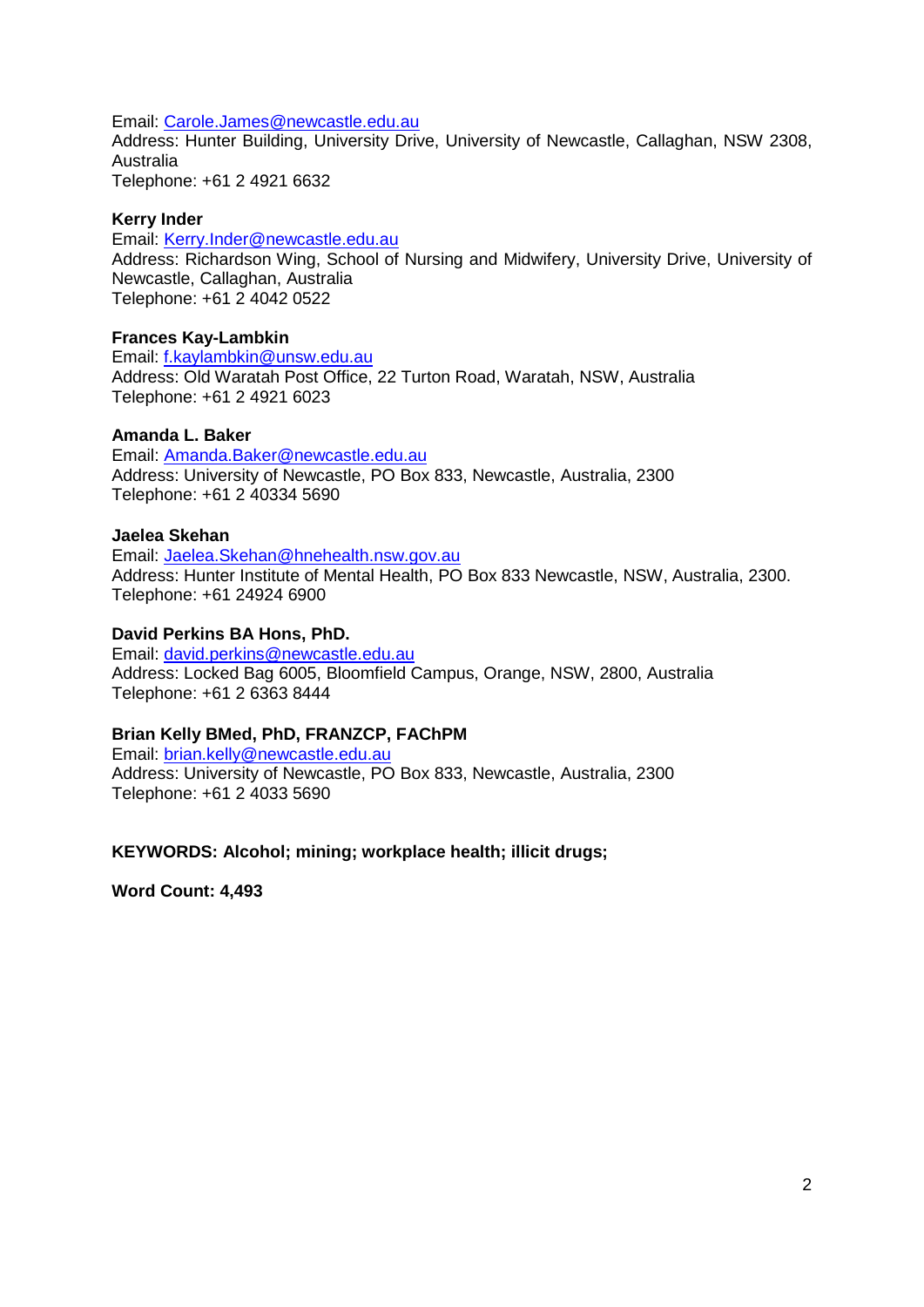Email: [Carole.James@newcastle.edu.au](mailto:Carole.James@newcastle.edu.au)

Address: Hunter Building, University Drive, University of Newcastle, Callaghan, NSW 2308, Australia Telephone: +61 2 4921 6632

#### **Kerry Inder**

Email: [Kerry.Inder@newcastle.edu.au](mailto:Kerry.Inder@newcastle.edu.au) Address: Richardson Wing, School of Nursing and Midwifery, University Drive, University of Newcastle, Callaghan, Australia Telephone: +61 2 4042 0522

## **Frances Kay-Lambkin**

Email: [f.kaylambkin@unsw.edu.au](mailto:f.kaylambkin@unsw.edu.au) Address: Old Waratah Post Office, 22 Turton Road, Waratah, NSW, Australia Telephone: +61 2 4921 6023

#### **Amanda L. Baker**

Email: [Amanda.Baker@newcastle.edu.au](mailto:Amanda.Baker@newcastle.edu.au) Address: University of Newcastle, PO Box 833, Newcastle, Australia, 2300 Telephone: +61 2 40334 5690

#### **Jaelea Skehan**

Email: [Jaelea.Skehan@hnehealth.nsw.gov.au](mailto:Jaelea.Skehan@hnehealth.nsw.gov.au) Address: Hunter Institute of Mental Health, PO Box 833 Newcastle, NSW, Australia, 2300. Telephone: +61 24924 6900

#### **David Perkins BA Hons, PhD.**

Email: [david.perkins@newcastle.edu.au](mailto:david.perkins@newcastle.edu.au) Address: Locked Bag 6005, Bloomfield Campus, Orange, NSW, 2800, Australia Telephone: +61 2 6363 8444

#### **Brian Kelly BMed, PhD, FRANZCP, FAChPM**

Email: [brian.kelly@newcastle.edu.au](mailto:brian.kelly@newcastle.edu.au) Address: University of Newcastle, PO Box 833, Newcastle, Australia, 2300 Telephone: +61 2 4033 5690

#### **KEYWORDS: Alcohol; mining; workplace health; illicit drugs;**

**Word Count: 4,493**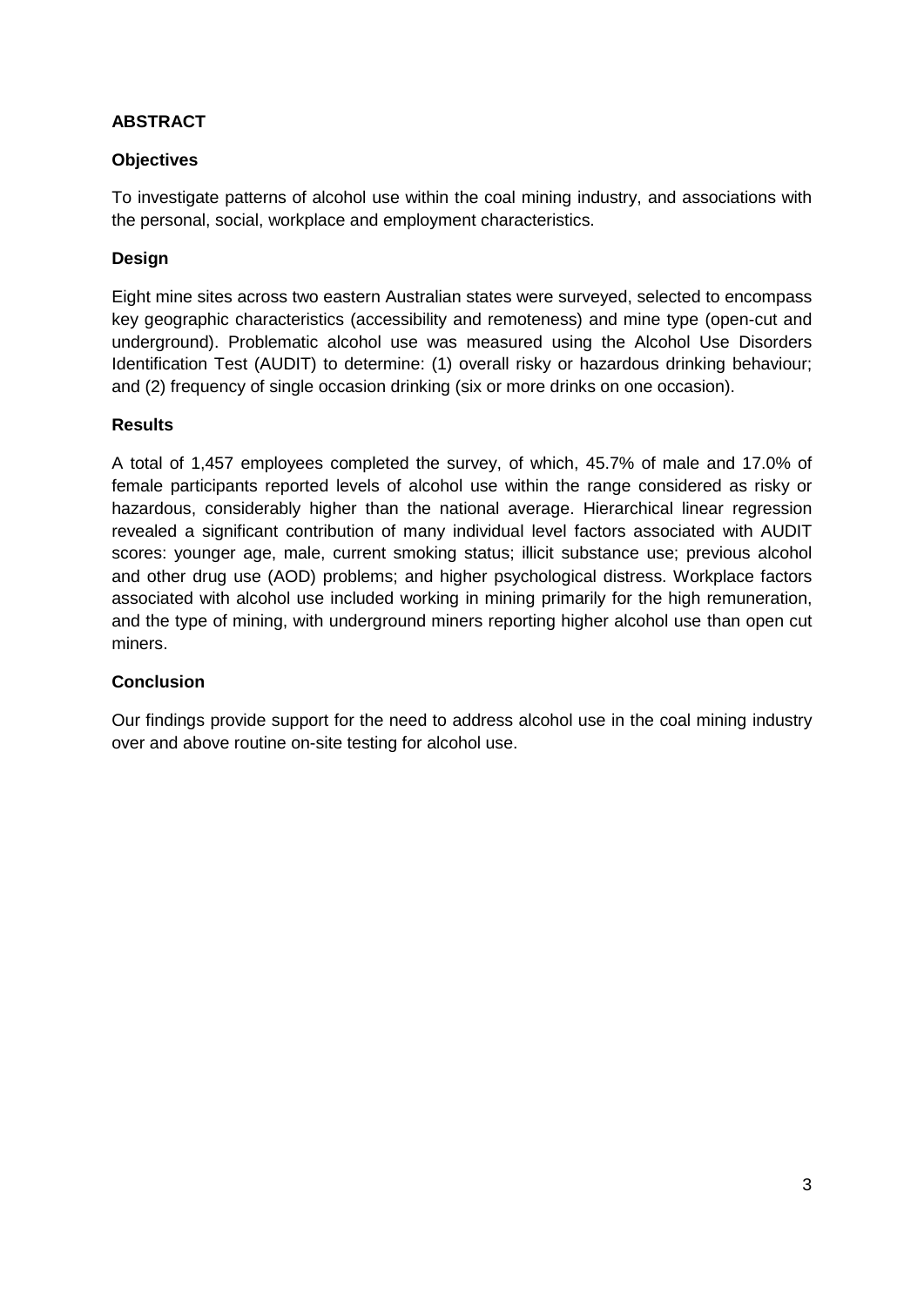# **ABSTRACT**

# **Objectives**

To investigate patterns of alcohol use within the coal mining industry, and associations with the personal, social, workplace and employment characteristics.

# **Design**

Eight mine sites across two eastern Australian states were surveyed, selected to encompass key geographic characteristics (accessibility and remoteness) and mine type (open-cut and underground). Problematic alcohol use was measured using the Alcohol Use Disorders Identification Test (AUDIT) to determine: (1) overall risky or hazardous drinking behaviour; and (2) frequency of single occasion drinking (six or more drinks on one occasion).

## **Results**

A total of 1,457 employees completed the survey, of which, 45.7% of male and 17.0% of female participants reported levels of alcohol use within the range considered as risky or hazardous, considerably higher than the national average. Hierarchical linear regression revealed a significant contribution of many individual level factors associated with AUDIT scores: younger age, male, current smoking status; illicit substance use; previous alcohol and other drug use (AOD) problems; and higher psychological distress. Workplace factors associated with alcohol use included working in mining primarily for the high remuneration, and the type of mining, with underground miners reporting higher alcohol use than open cut miners.

## **Conclusion**

Our findings provide support for the need to address alcohol use in the coal mining industry over and above routine on-site testing for alcohol use.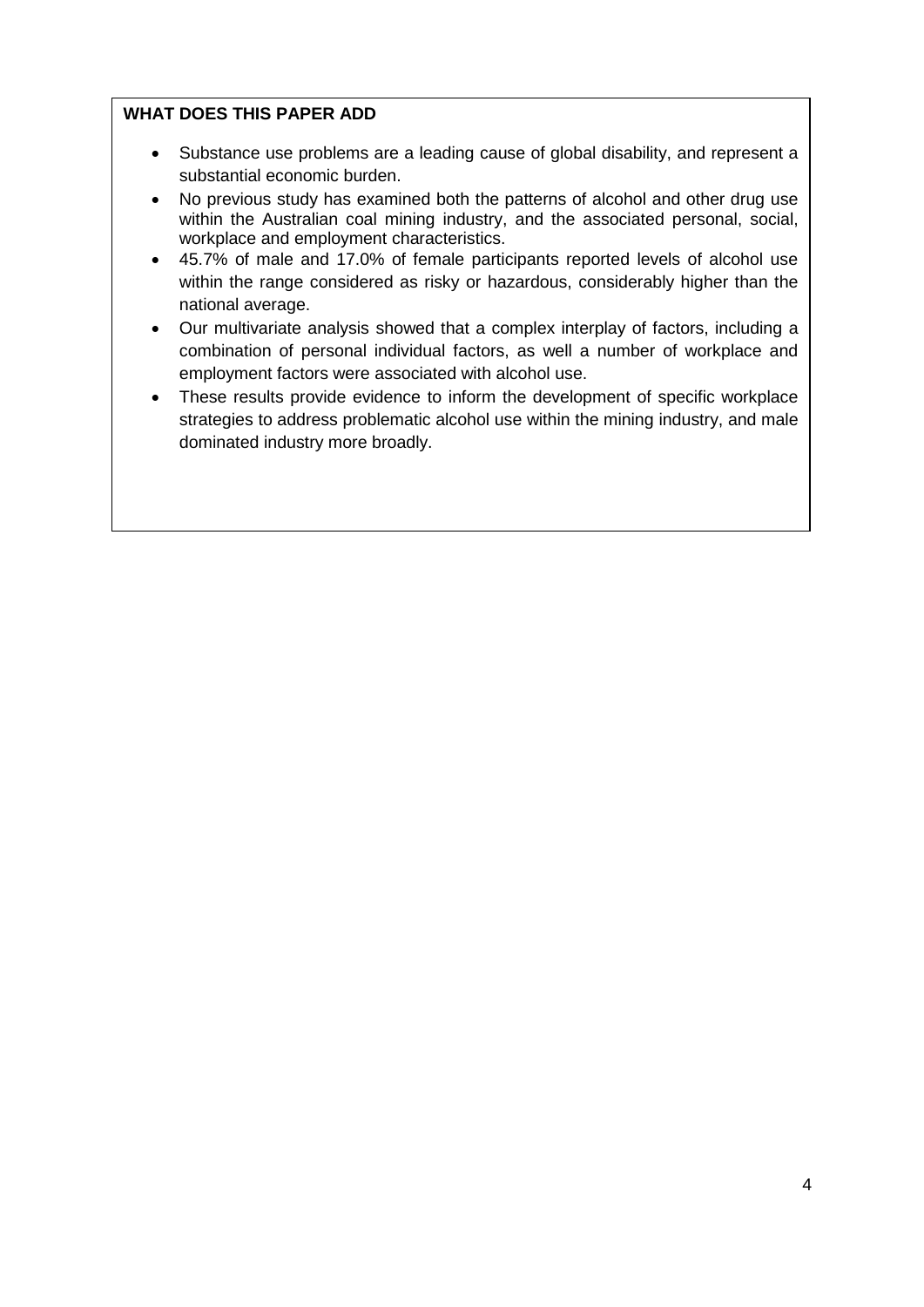# **WHAT DOES THIS PAPER ADD**

- Substance use problems are a leading cause of global disability, and represent a substantial economic burden.
- No previous study has examined both the patterns of alcohol and other drug use within the Australian coal mining industry, and the associated personal, social, workplace and employment characteristics.
- 45.7% of male and 17.0% of female participants reported levels of alcohol use within the range considered as risky or hazardous, considerably higher than the national average.
- Our multivariate analysis showed that a complex interplay of factors, including a combination of personal individual factors, as well a number of workplace and employment factors were associated with alcohol use.
- These results provide evidence to inform the development of specific workplace strategies to address problematic alcohol use within the mining industry, and male dominated industry more broadly.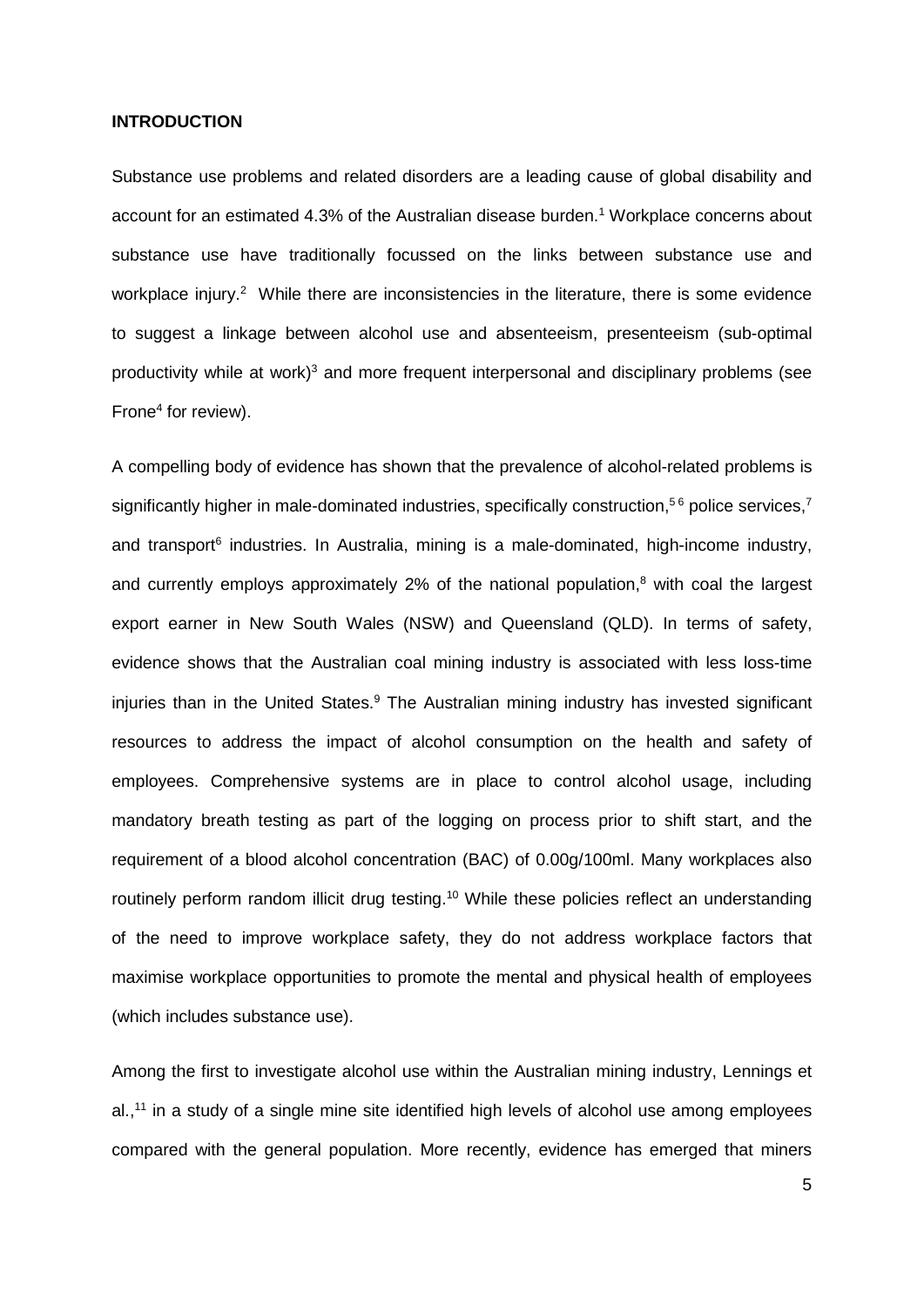#### **INTRODUCTION**

Substance use problems and related disorders are a leading cause of global disability and account for an estimated 4.3% of the Australian disease burden[.](#page-29-0) <sup>1</sup> Workplace concerns about substance use have traditionally focussed on the links between substance use and workplace injury.<sup>[2](#page-29-1)</sup> While there are inconsistencies in the literature, there is some evidence to suggest a linkage between alcohol use and absenteeism, presenteeism (sub-optimal productivity while at work) $3$  and more frequent interpersonal and disciplinary problems (see Frone<sup>4</sup> for review).

A compelling body of evidence has shown that the prevalence of alcohol-related problems is significantly higher in male-dominated industries, specifically construction,<sup>[5](#page-29-4)[6](#page-29-5)</sup> police services,<sup>[7](#page-29-6)</sup> and transport<sup>6</sup> industries. In Australia, mining is a male-dominated, high-income industry, and currently employs approximately 2% of the national population[,](#page-29-7) <sup>8</sup> with coal the largest export earner in New South Wales (NSW) and Queensland (QLD). In terms of safety, evidence shows that the Australian coal mining industry is associated with less loss-time injuries than in the United States.<sup>[9](#page-29-8)</sup> The Australian mining industry has invested significant resources to address the impact of alcohol consumption on the health and safety of employees. Comprehensive systems are in place to control alcohol usage, including mandatory breath testing as part of the logging on process prior to shift start, and the requirement of a blood alcohol concentration (BAC) of 0.00g/100ml. Many workplaces also routinely perform random illicit drug testing.<sup>[10](#page-29-9)</sup> While these policies reflect an understanding of the need to improve workplace safety, they do not address workplace factors that maximise workplace opportunities to promote the mental and physical health of employees (which includes substance use).

Among the first to investigate alcohol use within the Australian mining industry, Lennings et al., [11](#page-29-10) in a study of a single mine site identified high levels of alcohol use among employees compared with the general population. More recently, evidence has emerged that miners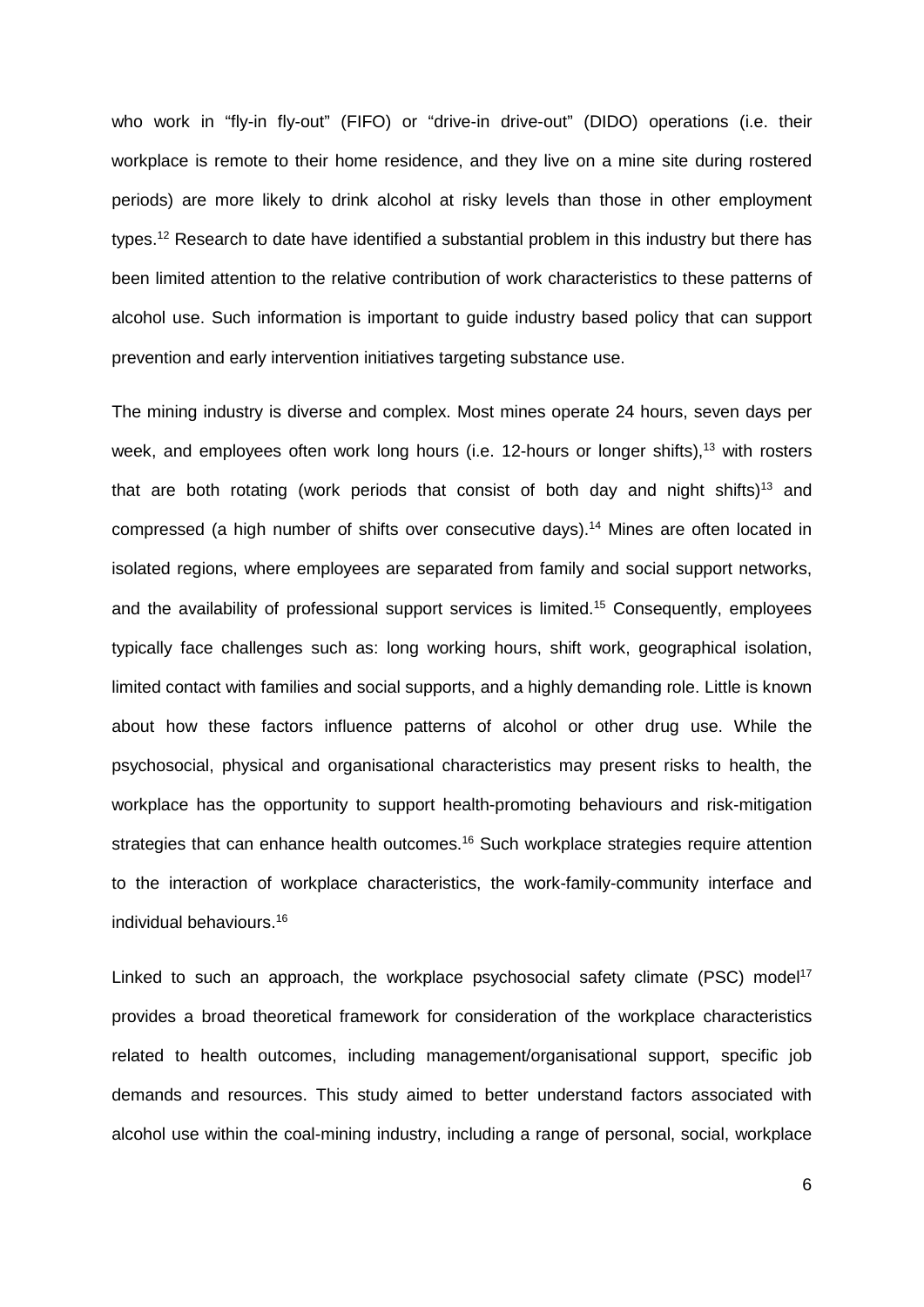who work in "fly-in fly-out" (FIFO) or "drive-in drive-out" (DIDO) operations (i.e. their workplace is remote to their home residence, and they live on a mine site during rostered periods) are more likely to drink alcohol at risky levels than those in other employment types.<sup>[12](#page-29-11)</sup> Research to date have identified a substantial problem in this industry but there has been limited attention to the relative contribution of work characteristics to these patterns of alcohol use. Such information is important to guide industry based policy that can support prevention and early intervention initiatives targeting substance use.

The mining industry is diverse and complex. Most mines operate 24 hours, seven days per week, and employees often work long hours (i.e. 12-hours or longer shifts),<sup>[13](#page-29-12)</sup> with rosters that are both rotating (work periods that consist of both day and night shifts)<sup>13</sup> and compressed (a high number of shifts over consecutive days). [14](#page-29-13) Mines are often located in isolated regions, where employees are separated from family and social support networks, and the availability of professional support services is limited. [15](#page-29-14) Consequently, employees typically face challenges such as: long working hours, shift work, geographical isolation, limited contact with families and social supports, and a highly demanding role. Little is known about how these factors influence patterns of alcohol or other drug use. While the psychosocial, physical and organisational characteristics may present risks to health, the workplace has the opportunity to support health-promoting behaviours and risk-mitigation strategies that can enhance health outcomes.<sup>16</sup> Such workplace strategies require attention to the interaction of workplace characteristics, the work-family-community interface and individual behaviours. [16](#page-29-15)

Linked to such an approach, the workplace psychosocial safety climate (PSC) model<sup>17</sup> provides a broad theoretical framework for consideration of the workplace characteristics related to health outcomes, including management/organisational support, specific job demands and resources. This study aimed to better understand factors associated with alcohol use within the coal-mining industry, including a range of personal, social, workplace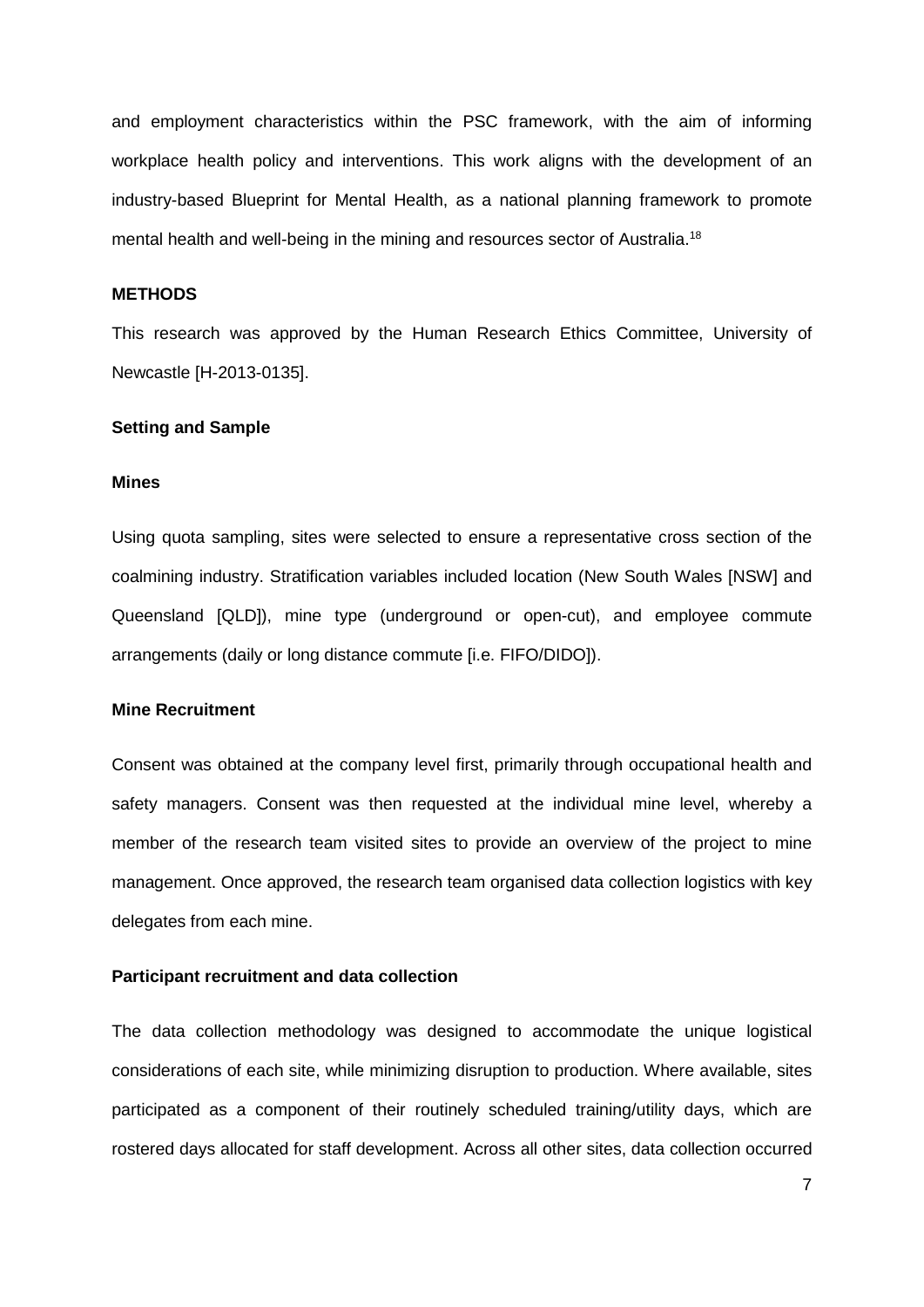and employment characteristics within the PSC framework, with the aim of informing workplace health policy and interventions. This work aligns with the development of an industry-based Blueprint for Mental Health, as a national planning framework to promote mental health and well-being in the mining and resources sector of Australia.<sup>[18](#page-29-17)</sup>

#### **METHODS**

This research was approved by the Human Research Ethics Committee, University of Newcastle [H-2013-0135].

#### **Setting and Sample**

#### **Mines**

Using quota sampling, sites were selected to ensure a representative cross section of the coalmining industry. Stratification variables included location (New South Wales [NSW] and Queensland [QLD]), mine type (underground or open-cut), and employee commute arrangements (daily or long distance commute [i.e. FIFO/DIDO]).

#### **Mine Recruitment**

Consent was obtained at the company level first, primarily through occupational health and safety managers. Consent was then requested at the individual mine level, whereby a member of the research team visited sites to provide an overview of the project to mine management. Once approved, the research team organised data collection logistics with key delegates from each mine.

#### **Participant recruitment and data collection**

The data collection methodology was designed to accommodate the unique logistical considerations of each site, while minimizing disruption to production. Where available, sites participated as a component of their routinely scheduled training/utility days, which are rostered days allocated for staff development. Across all other sites, data collection occurred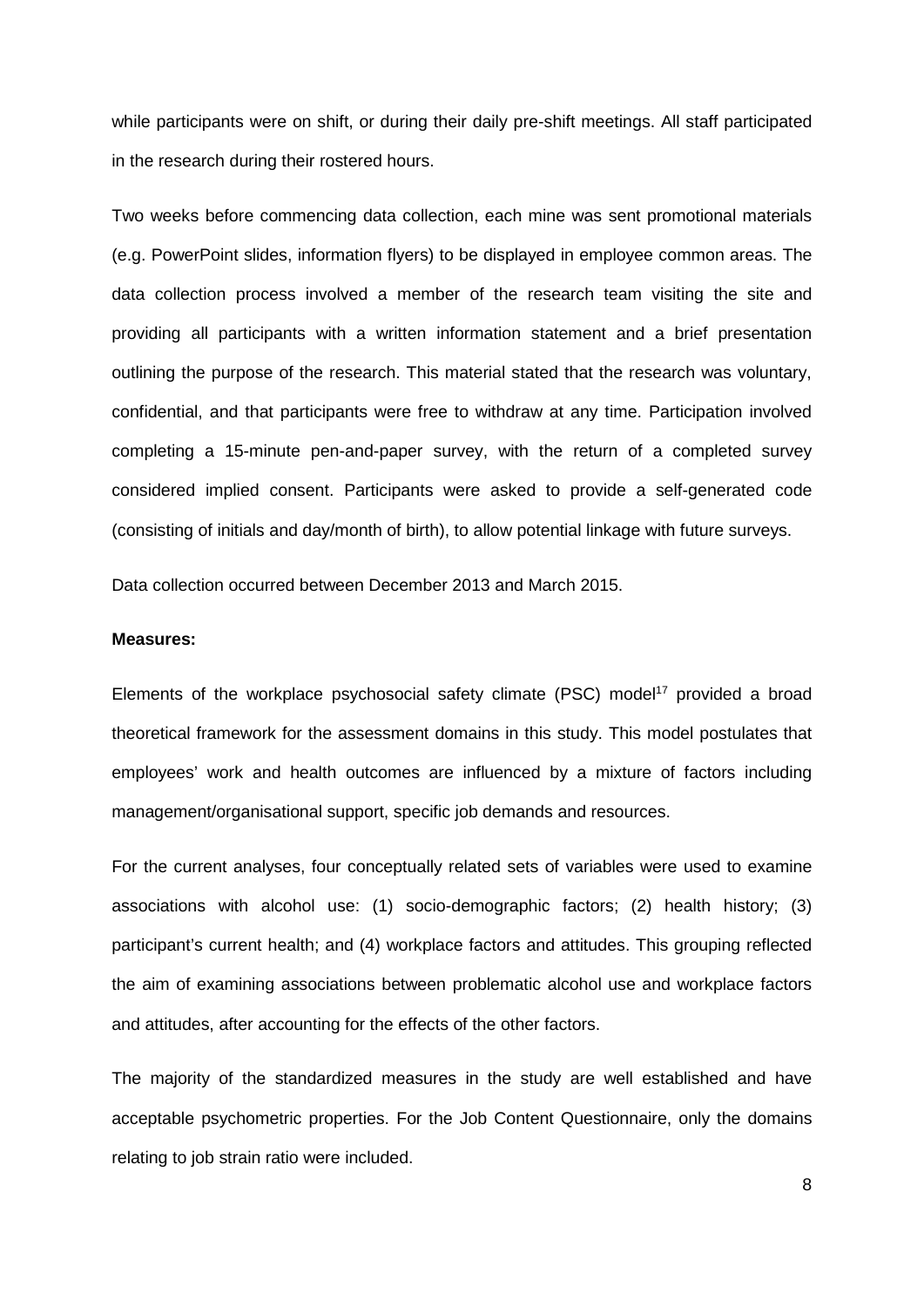while participants were on shift, or during their daily pre-shift meetings. All staff participated in the research during their rostered hours.

Two weeks before commencing data collection, each mine was sent promotional materials (e.g. PowerPoint slides, information flyers) to be displayed in employee common areas. The data collection process involved a member of the research team visiting the site and providing all participants with a written information statement and a brief presentation outlining the purpose of the research. This material stated that the research was voluntary, confidential, and that participants were free to withdraw at any time. Participation involved completing a 15-minute pen-and-paper survey, with the return of a completed survey considered implied consent. Participants were asked to provide a self-generated code (consisting of initials and day/month of birth), to allow potential linkage with future surveys.

Data collection occurred between December 2013 and March 2015.

#### **Measures:**

Elements of the workplace psychosocial safety climate (PSC) model<sup>17</sup> provided a broad theoretical framework for the assessment domains in this study. This model postulates that employees' work and health outcomes are influenced by a mixture of factors including management/organisational support, specific job demands and resources.

For the current analyses, four conceptually related sets of variables were used to examine associations with alcohol use: (1) socio-demographic factors; (2) health history; (3) participant's current health; and (4) workplace factors and attitudes. This grouping reflected the aim of examining associations between problematic alcohol use and workplace factors and attitudes, after accounting for the effects of the other factors.

The majority of the standardized measures in the study are well established and have acceptable psychometric properties. For the Job Content Questionnaire, only the domains relating to job strain ratio were included.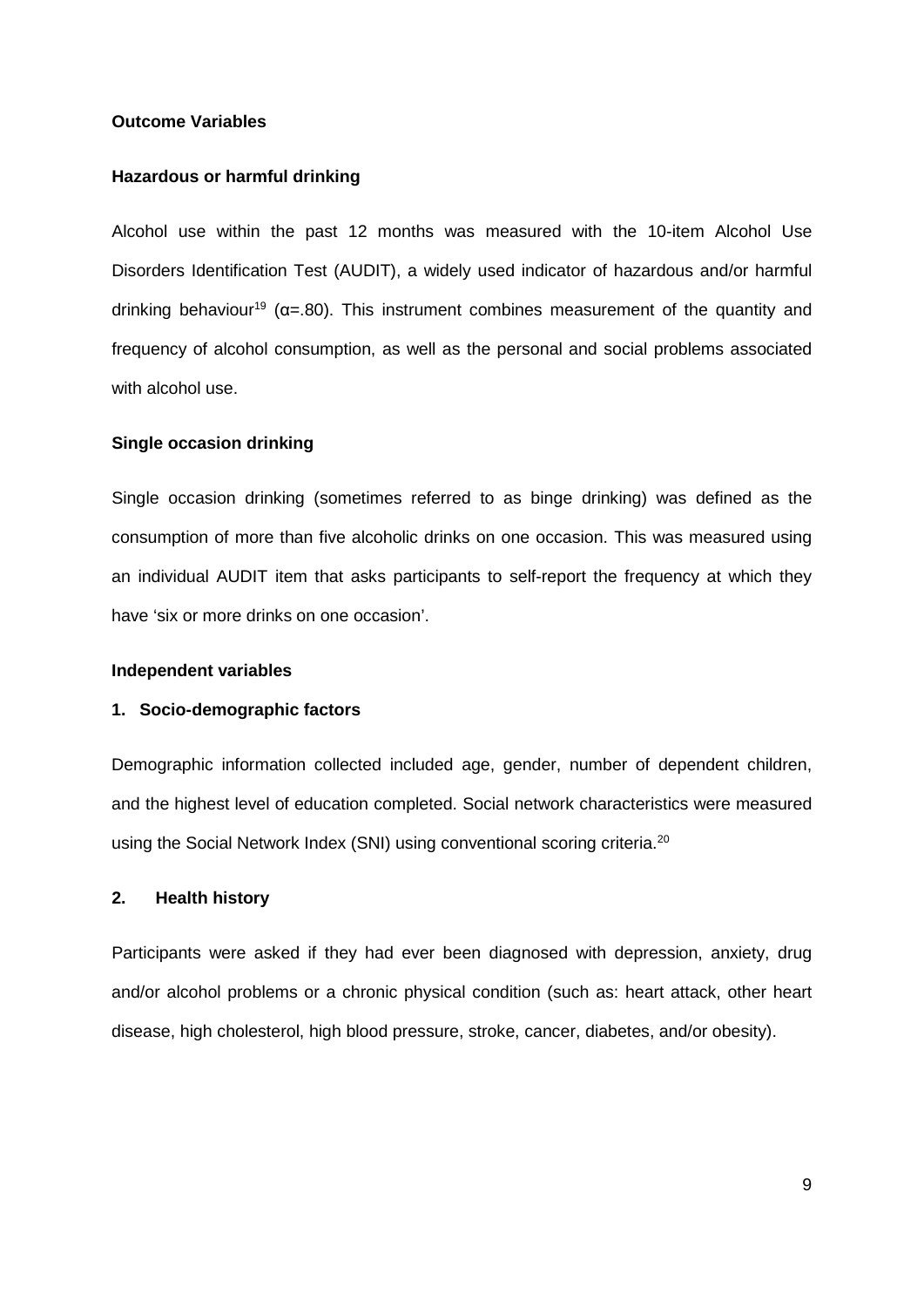#### **Outcome Variables**

#### **Hazardous or harmful drinking**

Alcohol use within the past 12 months was measured with the 10-item Alcohol Use Disorders Identification Test (AUDIT), a widely used indicator of hazardous and/or harmful drinking behaviour<sup>19</sup> ( $\alpha$ =.80). This instrument combines measurement of the quantity and frequency of alcohol consumption, as well as the personal and social problems associated with alcohol use.

#### **Single occasion drinking**

Single occasion drinking (sometimes referred to as binge drinking) was defined as the consumption of more than five alcoholic drinks on one occasion. This was measured using an individual AUDIT item that asks participants to self-report the frequency at which they have 'six or more drinks on one occasion'.

#### **Independent variables**

#### **1. Socio-demographic factors**

Demographic information collected included age, gender, number of dependent children, and the highest level of education completed. Social network characteristics were measured using the Social Network Index (SNI) using conventional scoring criteria.<sup>[20](#page-29-19)</sup>

#### **2. Health history**

Participants were asked if they had ever been diagnosed with depression, anxiety, drug and/or alcohol problems or a chronic physical condition (such as: heart attack, other heart disease, high cholesterol, high blood pressure, stroke, cancer, diabetes, and/or obesity).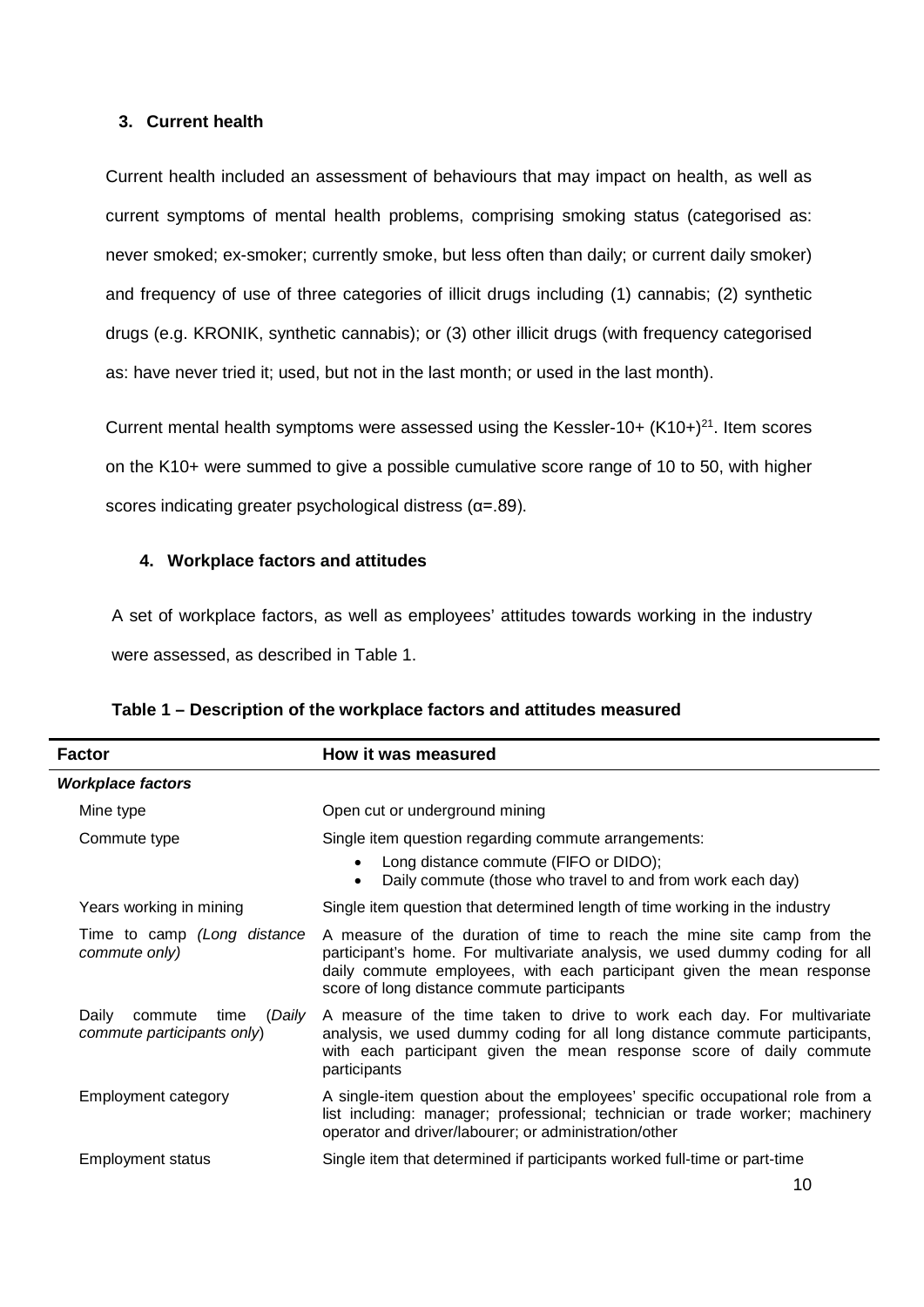## **3. Current health**

Current health included an assessment of behaviours that may impact on health, as well as current symptoms of mental health problems, comprising smoking status (categorised as: never smoked; ex-smoker; currently smoke, but less often than daily; or current daily smoker) and frequency of use of three categories of illicit drugs including (1) cannabis; (2) synthetic drugs (e.g. KRONIK, synthetic cannabis); or (3) other illicit drugs (with frequency categorised as: have never tried it; used, but not in the last month; or used in the last month).

Current mental health symptoms were assessed using the Kessler-10+  $(K10+)^{21}$ . Item scores on the K10+ were summed to give a possible cumulative score range of 10 to 50, with higher scores indicating greater psychological distress (α=.89).

## **4. Workplace factors and attitudes**

A set of workplace factors, as well as employees' attitudes towards working in the industry were assessed, as described in Table 1.

| <b>Factor</b>                                                    | How it was measured                                                                                                                                                                                                                                                            |
|------------------------------------------------------------------|--------------------------------------------------------------------------------------------------------------------------------------------------------------------------------------------------------------------------------------------------------------------------------|
| <b>Workplace factors</b>                                         |                                                                                                                                                                                                                                                                                |
| Mine type                                                        | Open cut or underground mining                                                                                                                                                                                                                                                 |
| Commute type                                                     | Single item question regarding commute arrangements:<br>Long distance commute (FIFO or DIDO);<br>$\bullet$<br>Daily commute (those who travel to and from work each day)<br>$\bullet$                                                                                          |
| Years working in mining                                          | Single item question that determined length of time working in the industry                                                                                                                                                                                                    |
| Time to camp (Long distance<br>commute only)                     | A measure of the duration of time to reach the mine site camp from the<br>participant's home. For multivariate analysis, we used dummy coding for all<br>daily commute employees, with each participant given the mean response<br>score of long distance commute participants |
| (Daily<br>Daily<br>commute<br>time<br>commute participants only) | A measure of the time taken to drive to work each day. For multivariate<br>analysis, we used dummy coding for all long distance commute participants,<br>with each participant given the mean response score of daily commute<br>participants                                  |
| Employment category                                              | A single-item question about the employees' specific occupational role from a<br>list including: manager; professional; technician or trade worker; machinery<br>operator and driver/labourer; or administration/other                                                         |
| <b>Employment status</b>                                         | Single item that determined if participants worked full-time or part-time                                                                                                                                                                                                      |
|                                                                  |                                                                                                                                                                                                                                                                                |

|  |  | Table 1 – Description of the workplace factors and attitudes measured |  |  |
|--|--|-----------------------------------------------------------------------|--|--|
|--|--|-----------------------------------------------------------------------|--|--|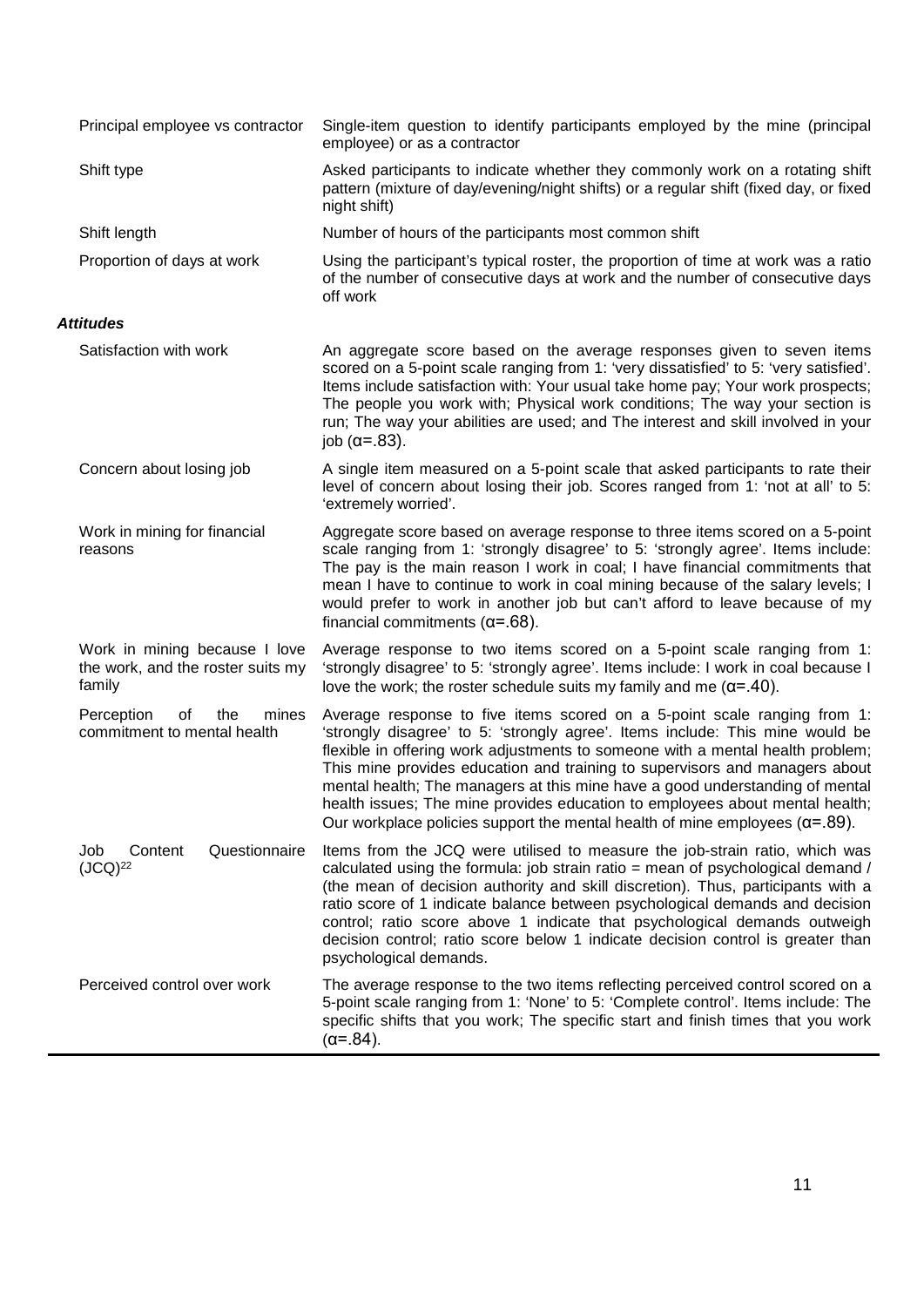| Principal employee vs contractor                                             | Single-item question to identify participants employed by the mine (principal<br>employee) or as a contractor                                                                                                                                                                                                                                                                                                                                                                                                                                                                       |
|------------------------------------------------------------------------------|-------------------------------------------------------------------------------------------------------------------------------------------------------------------------------------------------------------------------------------------------------------------------------------------------------------------------------------------------------------------------------------------------------------------------------------------------------------------------------------------------------------------------------------------------------------------------------------|
| Shift type                                                                   | Asked participants to indicate whether they commonly work on a rotating shift<br>pattern (mixture of day/evening/night shifts) or a regular shift (fixed day, or fixed<br>night shift)                                                                                                                                                                                                                                                                                                                                                                                              |
| Shift length                                                                 | Number of hours of the participants most common shift                                                                                                                                                                                                                                                                                                                                                                                                                                                                                                                               |
| Proportion of days at work                                                   | Using the participant's typical roster, the proportion of time at work was a ratio<br>of the number of consecutive days at work and the number of consecutive days<br>off work                                                                                                                                                                                                                                                                                                                                                                                                      |
| <b>Attitudes</b>                                                             |                                                                                                                                                                                                                                                                                                                                                                                                                                                                                                                                                                                     |
| Satisfaction with work                                                       | An aggregate score based on the average responses given to seven items<br>scored on a 5-point scale ranging from 1: 'very dissatisfied' to 5: 'very satisfied'.<br>Items include satisfaction with: Your usual take home pay; Your work prospects;<br>The people you work with; Physical work conditions; The way your section is<br>run; The way your abilities are used; and The interest and skill involved in your<br>job $(\alpha = .83)$ .                                                                                                                                    |
| Concern about losing job                                                     | A single item measured on a 5-point scale that asked participants to rate their<br>level of concern about losing their job. Scores ranged from 1: 'not at all' to 5:<br>'extremely worried'.                                                                                                                                                                                                                                                                                                                                                                                        |
| Work in mining for financial<br>reasons                                      | Aggregate score based on average response to three items scored on a 5-point<br>scale ranging from 1: 'strongly disagree' to 5: 'strongly agree'. Items include:<br>The pay is the main reason I work in coal; I have financial commitments that<br>mean I have to continue to work in coal mining because of the salary levels; I<br>would prefer to work in another job but can't afford to leave because of my<br>financial commitments $(\alpha = .68)$ .                                                                                                                       |
| Work in mining because I love<br>the work, and the roster suits my<br>family | Average response to two items scored on a 5-point scale ranging from 1:<br>'strongly disagree' to 5: 'strongly agree'. Items include: I work in coal because I<br>love the work; the roster schedule suits my family and me $(\alpha = .40)$ .                                                                                                                                                                                                                                                                                                                                      |
| Perception<br>of<br>the<br>mines<br>commitment to mental health              | Average response to five items scored on a 5-point scale ranging from 1:<br>'strongly disagree' to 5: 'strongly agree'. Items include: This mine would be<br>flexible in offering work adjustments to someone with a mental health problem;<br>This mine provides education and training to supervisors and managers about<br>mental health; The managers at this mine have a good understanding of mental<br>health issues; The mine provides education to employees about mental health;<br>Our workplace policies support the mental health of mine employees $(\alpha = .89)$ . |
| Questionnaire<br>Content<br>Job<br>$(JCQ)^{22}$                              | Items from the JCQ were utilised to measure the job-strain ratio, which was<br>calculated using the formula: job strain ratio = mean of psychological demand /<br>(the mean of decision authority and skill discretion). Thus, participants with a<br>ratio score of 1 indicate balance between psychological demands and decision<br>control; ratio score above 1 indicate that psychological demands outweigh<br>decision control; ratio score below 1 indicate decision control is greater than<br>psychological demands.                                                        |
| Perceived control over work                                                  | The average response to the two items reflecting perceived control scored on a<br>5-point scale ranging from 1: 'None' to 5: 'Complete control'. Items include: The<br>specific shifts that you work; The specific start and finish times that you work<br>$(\alpha = .84)$ .                                                                                                                                                                                                                                                                                                       |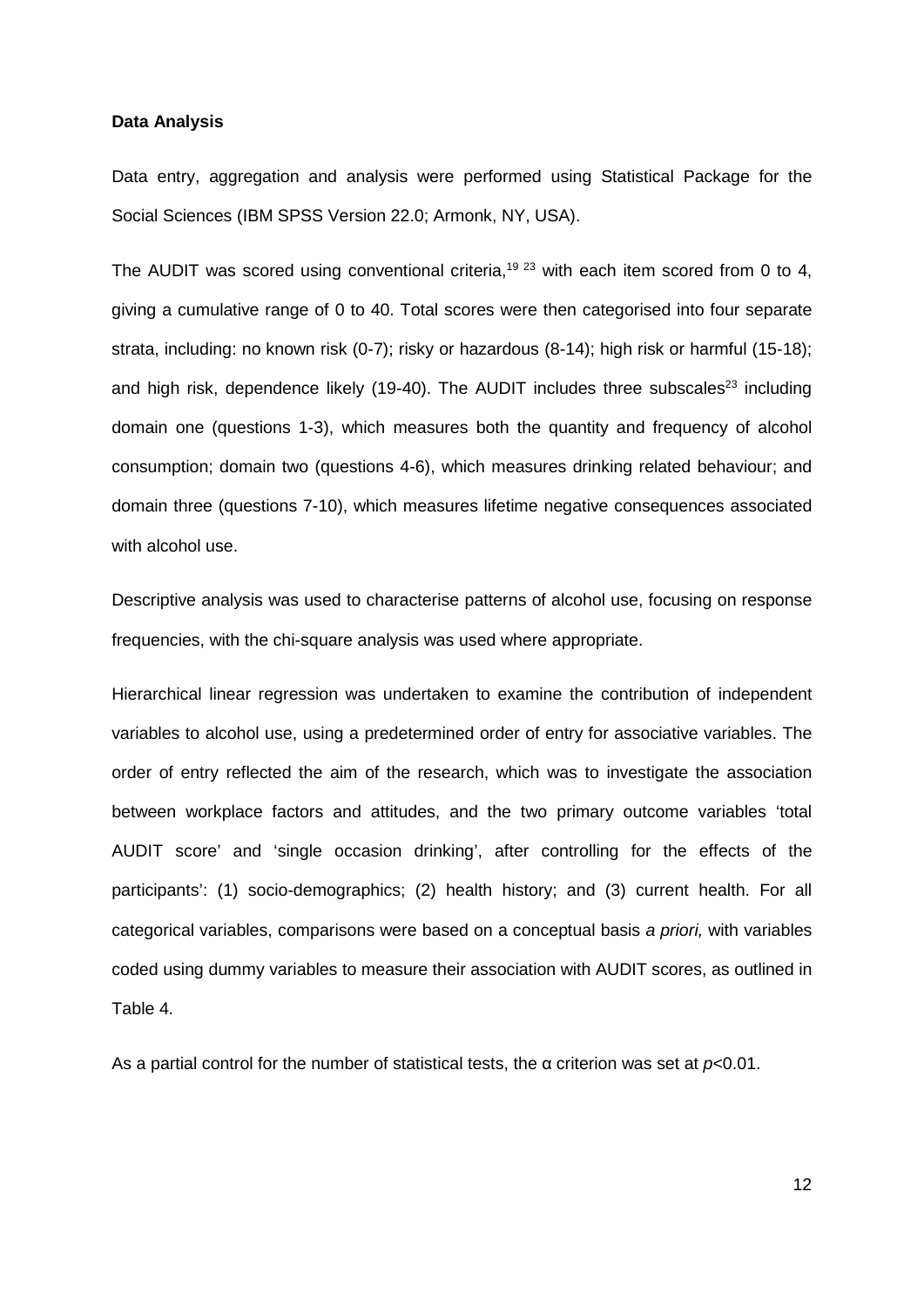#### **Data Analysis**

Data entry, aggregation and analysis were performed using Statistical Package for the Social Sciences (IBM SPSS Version 22.0; Armonk, NY, USA).

The AUDIT was scored using conventional criteria,<sup>[19](#page-29-18) [23](#page-30-2)</sup> with each item scored from 0 to 4, giving a cumulative range of 0 to 40. Total scores were then categorised into four separate strata, including: no known risk (0-7); risky or hazardous (8-14); high risk or harmful (15-18); and high risk, dependence likely (19-40). The AUDIT includes three subscales<sup>23</sup> including domain one (questions 1-3), which measures both the quantity and frequency of alcohol consumption; domain two (questions 4-6), which measures drinking related behaviour; and domain three (questions 7-10), which measures lifetime negative consequences associated with alcohol use.

Descriptive analysis was used to characterise patterns of alcohol use, focusing on response frequencies, with the chi-square analysis was used where appropriate.

Hierarchical linear regression was undertaken to examine the contribution of independent variables to alcohol use, using a predetermined order of entry for associative variables. The order of entry reflected the aim of the research, which was to investigate the association between workplace factors and attitudes, and the two primary outcome variables 'total AUDIT score' and 'single occasion drinking', after controlling for the effects of the participants': (1) socio-demographics; (2) health history; and (3) current health. For all categorical variables, comparisons were based on a conceptual basis *a priori,* with variables coded using dummy variables to measure their association with AUDIT scores, as outlined in Table 4.

As a partial control for the number of statistical tests, the α criterion was set at *p<*0.01.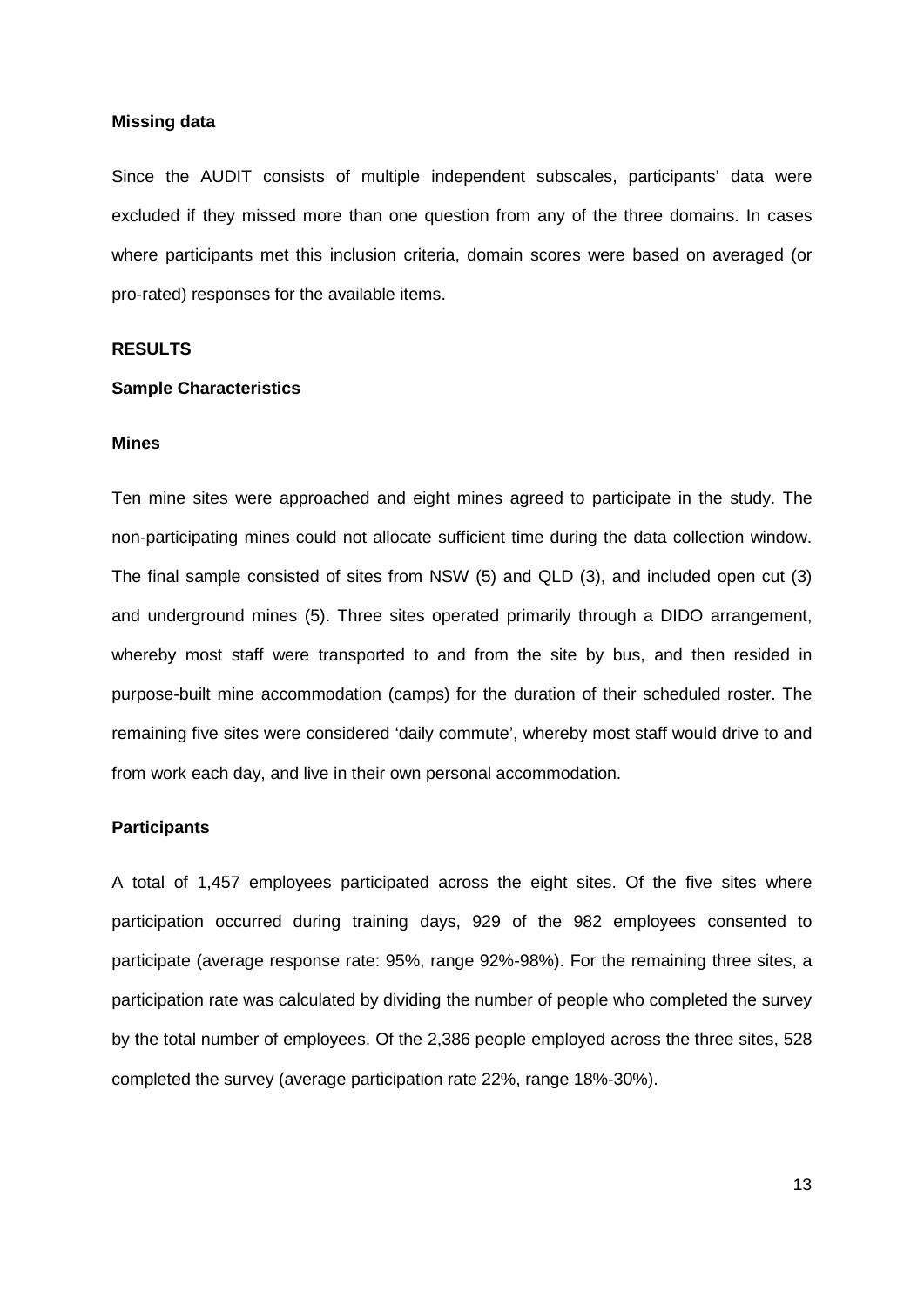#### **Missing data**

Since the AUDIT consists of multiple independent subscales, participants' data were excluded if they missed more than one question from any of the three domains. In cases where participants met this inclusion criteria, domain scores were based on averaged (or pro-rated) responses for the available items.

#### **RESULTS**

#### **Sample Characteristics**

#### **Mines**

Ten mine sites were approached and eight mines agreed to participate in the study. The non-participating mines could not allocate sufficient time during the data collection window. The final sample consisted of sites from NSW (5) and QLD (3), and included open cut (3) and underground mines (5). Three sites operated primarily through a DIDO arrangement, whereby most staff were transported to and from the site by bus, and then resided in purpose-built mine accommodation (camps) for the duration of their scheduled roster. The remaining five sites were considered 'daily commute', whereby most staff would drive to and from work each day, and live in their own personal accommodation.

#### **Participants**

A total of 1,457 employees participated across the eight sites. Of the five sites where participation occurred during training days, 929 of the 982 employees consented to participate (average response rate: 95%, range 92%-98%). For the remaining three sites, a participation rate was calculated by dividing the number of people who completed the survey by the total number of employees. Of the 2,386 people employed across the three sites, 528 completed the survey (average participation rate 22%, range 18%-30%).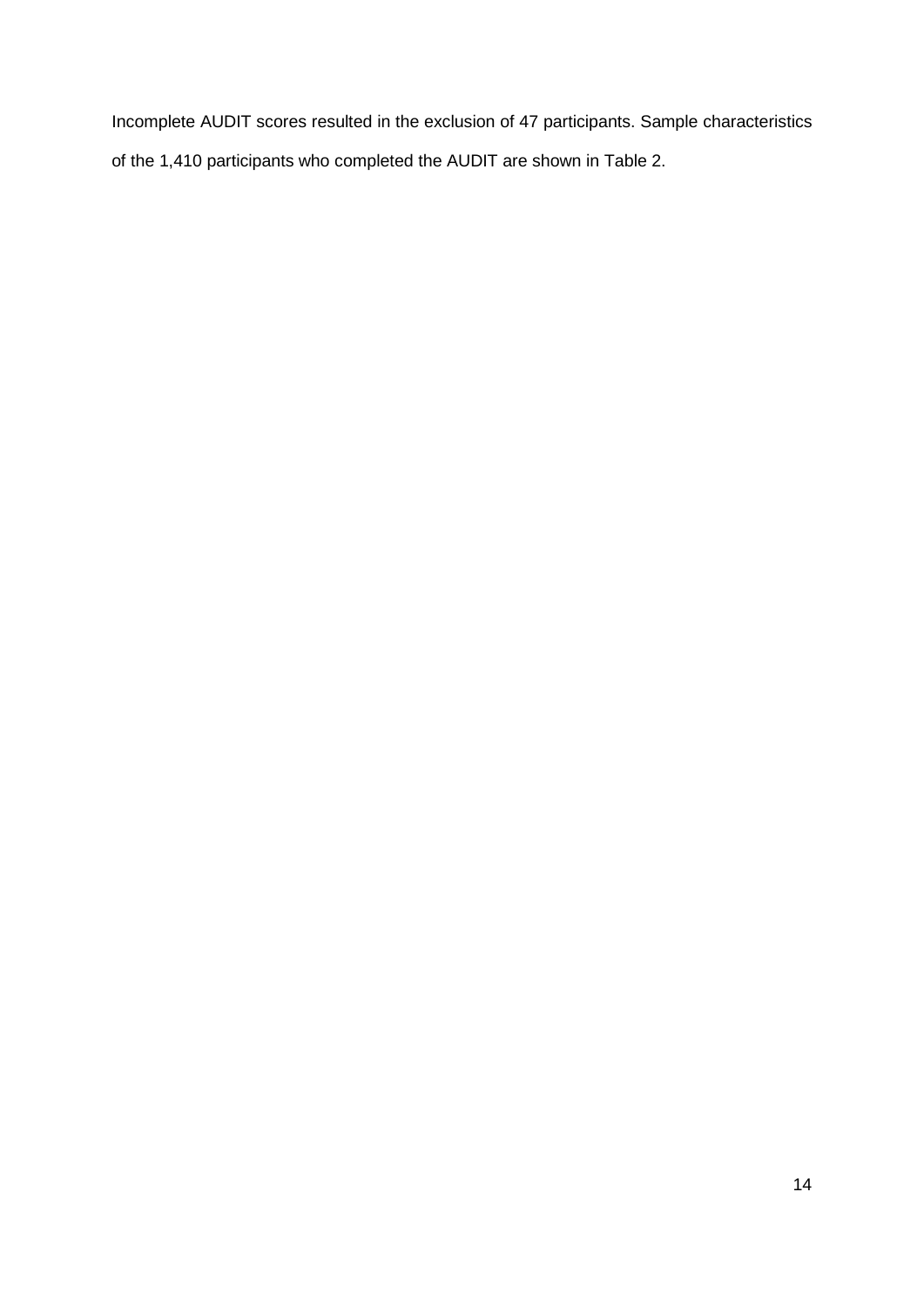Incomplete AUDIT scores resulted in the exclusion of 47 participants. Sample characteristics of the 1,410 participants who completed the AUDIT are shown in Table 2.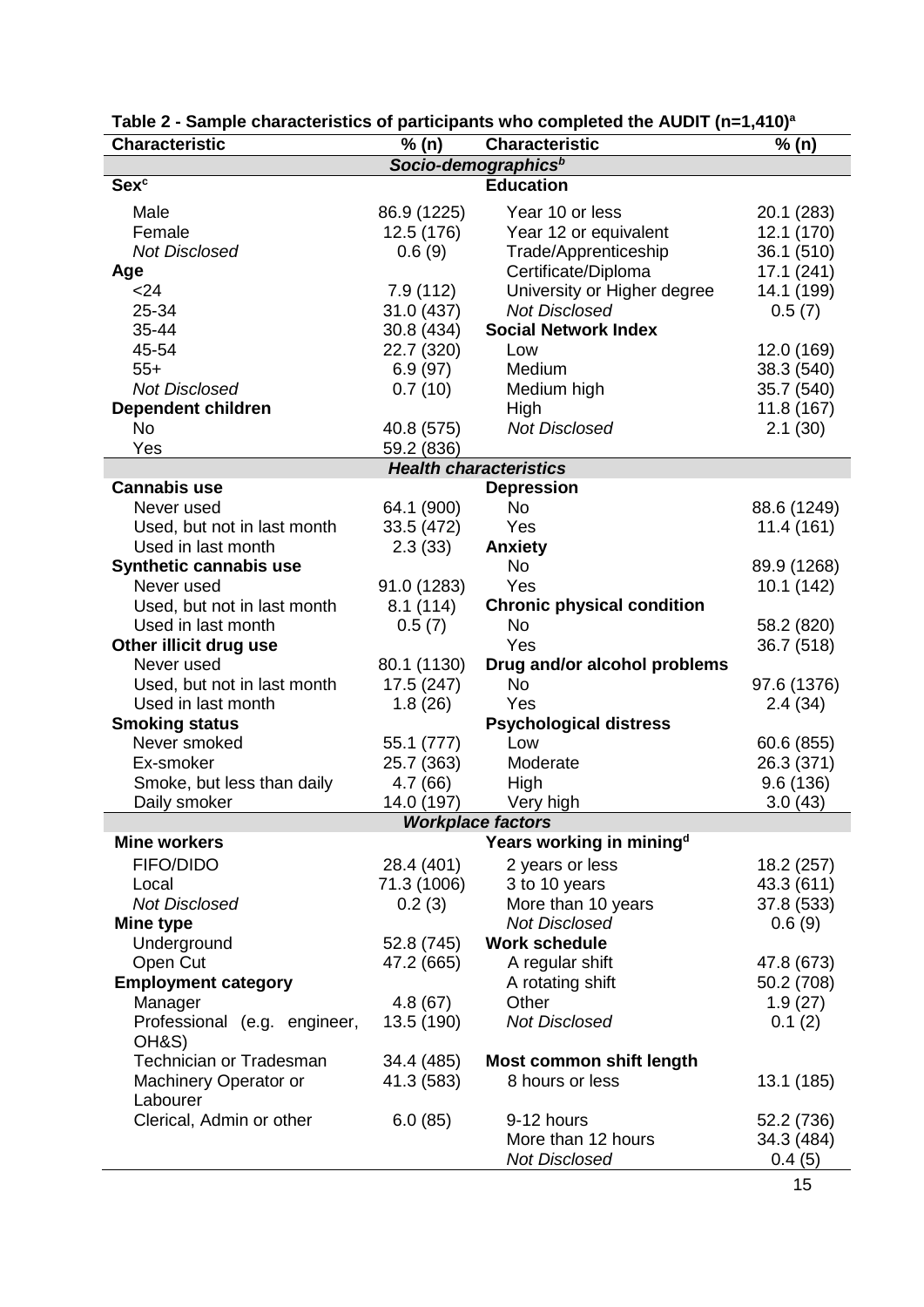| <b>Characteristic</b>         | % (n)                           | <b>Characteristic</b>                | % (n)       |  |  |  |
|-------------------------------|---------------------------------|--------------------------------------|-------------|--|--|--|
|                               | Socio-demographics <sup>b</sup> |                                      |             |  |  |  |
| <b>Sexc</b>                   |                                 | <b>Education</b>                     |             |  |  |  |
| Male                          | 86.9 (1225)                     | Year 10 or less                      | 20.1 (283)  |  |  |  |
| Female                        | 12.5 (176)                      | Year 12 or equivalent                | 12.1 (170)  |  |  |  |
| <b>Not Disclosed</b>          | 0.6(9)                          | Trade/Apprenticeship                 | 36.1 (510)  |  |  |  |
| Age                           |                                 | Certificate/Diploma                  | 17.1(241)   |  |  |  |
| $24$                          | 7.9(112)                        | University or Higher degree          | 14.1 (199)  |  |  |  |
| 25-34                         | 31.0 (437)                      | <b>Not Disclosed</b>                 | 0.5(7)      |  |  |  |
| 35-44                         | 30.8 (434)                      | <b>Social Network Index</b>          |             |  |  |  |
| 45-54                         | 22.7 (320)                      | Low                                  | 12.0 (169)  |  |  |  |
| $55+$                         | 6.9(97)                         | Medium                               | 38.3 (540)  |  |  |  |
| <b>Not Disclosed</b>          |                                 |                                      |             |  |  |  |
|                               | 0.7(10)                         | Medium high                          | 35.7 (540)  |  |  |  |
| <b>Dependent children</b>     |                                 | High                                 | 11.8(167)   |  |  |  |
| <b>No</b>                     | 40.8 (575)                      | <b>Not Disclosed</b>                 | 2.1(30)     |  |  |  |
| Yes                           | 59.2 (836)                      |                                      |             |  |  |  |
| <b>Cannabis use</b>           |                                 | <b>Health characteristics</b>        |             |  |  |  |
|                               |                                 | <b>Depression</b><br>No              |             |  |  |  |
| Never used                    | 64.1 (900)                      |                                      | 88.6 (1249) |  |  |  |
| Used, but not in last month   | 33.5 (472)                      | Yes                                  | 11.4(161)   |  |  |  |
| Used in last month            | 2.3(33)                         | <b>Anxiety</b>                       |             |  |  |  |
| <b>Synthetic cannabis use</b> |                                 | <b>No</b>                            | 89.9 (1268) |  |  |  |
| Never used                    | 91.0 (1283)                     | Yes                                  | 10.1(142)   |  |  |  |
| Used, but not in last month   | 8.1(114)                        | <b>Chronic physical condition</b>    |             |  |  |  |
| Used in last month            | 0.5(7)                          | <b>No</b>                            | 58.2 (820)  |  |  |  |
| Other illicit drug use        |                                 | Yes                                  | 36.7 (518)  |  |  |  |
| Never used                    | 80.1 (1130)                     | Drug and/or alcohol problems         |             |  |  |  |
| Used, but not in last month   | 17.5 (247)                      | No                                   | 97.6 (1376) |  |  |  |
| Used in last month            | 1.8(26)                         | Yes                                  | 2.4(34)     |  |  |  |
| <b>Smoking status</b>         |                                 | <b>Psychological distress</b>        |             |  |  |  |
| Never smoked                  | 55.1 (777)                      | Low                                  | 60.6 (855)  |  |  |  |
| Ex-smoker                     | 25.7 (363)                      | Moderate                             | 26.3 (371)  |  |  |  |
| Smoke, but less than daily    | 4.7(66)                         | High                                 | 9.6(136)    |  |  |  |
| Daily smoker                  | 14.0 (197)                      | Very high                            | 3.0(43)     |  |  |  |
| <b>Workplace factors</b>      |                                 |                                      |             |  |  |  |
| <b>Mine workers</b>           |                                 | Years working in mining <sup>d</sup> |             |  |  |  |
| FIFO/DIDO                     | 28.4 (401)                      | 2 years or less                      | 18.2 (257)  |  |  |  |
| Local                         | 71.3 (1006)                     | 3 to 10 years                        | 43.3 (611)  |  |  |  |
| <b>Not Disclosed</b>          | 0.2(3)                          | More than 10 years                   | 37.8 (533)  |  |  |  |
| Mine type                     |                                 | <b>Not Disclosed</b>                 | 0.6(9)      |  |  |  |
| Underground                   | 52.8 (745)                      | <b>Work schedule</b>                 |             |  |  |  |
| Open Cut                      | 47.2 (665)                      | A regular shift                      | 47.8 (673)  |  |  |  |
| <b>Employment category</b>    |                                 | A rotating shift                     | 50.2 (708)  |  |  |  |
| Manager                       | 4.8(67)                         | Other                                | 1.9(27)     |  |  |  |
| Professional (e.g. engineer,  | 13.5 (190)                      | <b>Not Disclosed</b>                 | 0.1(2)      |  |  |  |
| OH&S)                         |                                 |                                      |             |  |  |  |
| Technician or Tradesman       | 34.4 (485)                      | <b>Most common shift length</b>      |             |  |  |  |
| Machinery Operator or         | 41.3 (583)                      | 8 hours or less                      | 13.1 (185)  |  |  |  |
| Labourer                      |                                 |                                      |             |  |  |  |
| Clerical, Admin or other      | 6.0(85)                         | 9-12 hours                           | 52.2 (736)  |  |  |  |
|                               |                                 | More than 12 hours                   | 34.3 (484)  |  |  |  |
|                               |                                 | <b>Not Disclosed</b>                 | 0.4(5)      |  |  |  |

#### **Table 2 - Sample characteristics of participants who completed the AUDIT (n=1,410) a**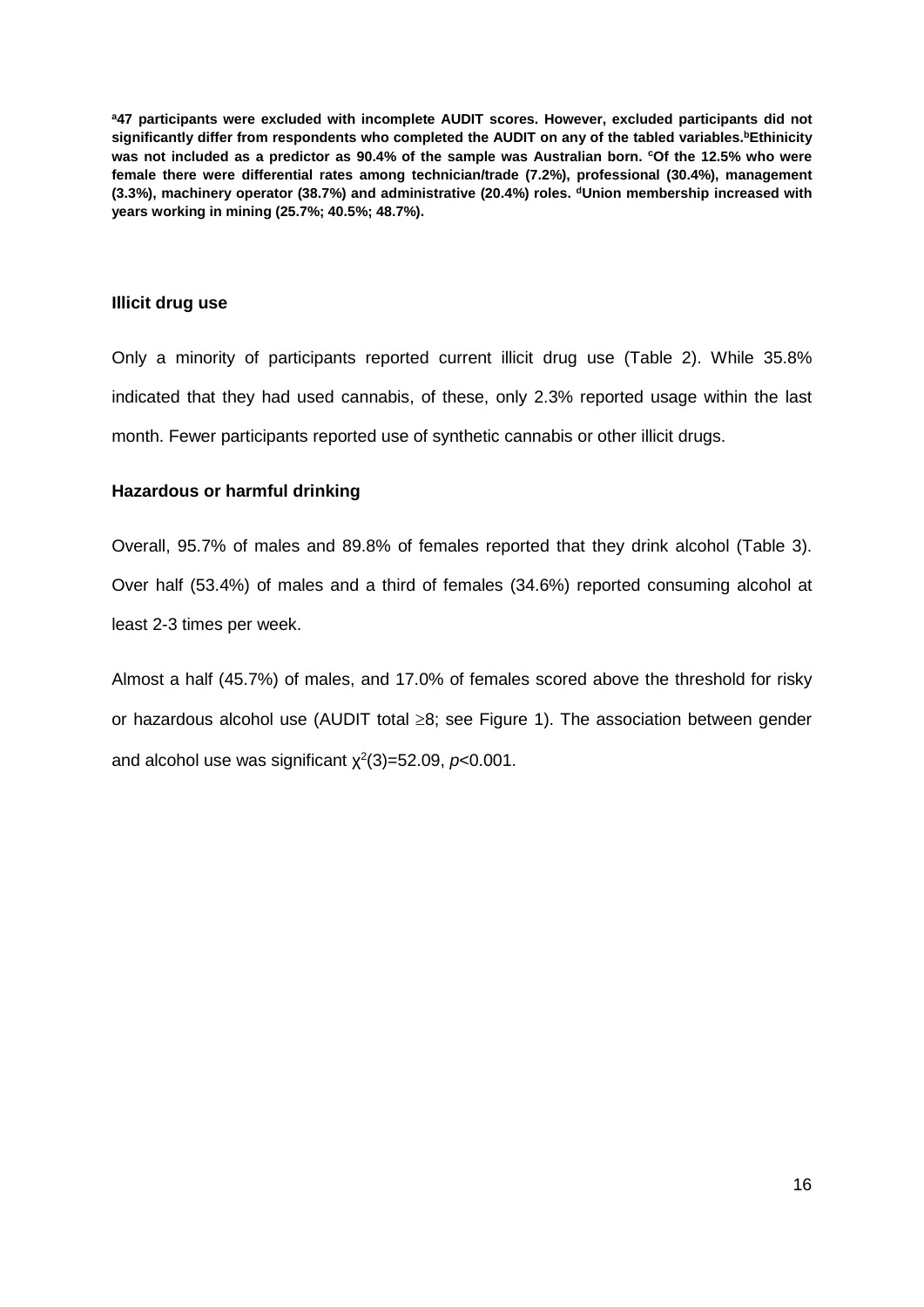**a47 participants were excluded with incomplete AUDIT scores. However, excluded participants did not**  significantly differ from respondents who completed the AUDIT on any of the tabled variables.<sup>b</sup>Ethinicity **was not included as a predictor as 90.4% of the sample was Australian born. cOf the 12.5% who were female there were differential rates among technician/trade (7.2%), professional (30.4%), management (3.3%), machinery operator (38.7%) and administrative (20.4%) roles. dUnion membership increased with years working in mining (25.7%; 40.5%; 48.7%).**

## **Illicit drug use**

Only a minority of participants reported current illicit drug use (Table 2). While 35.8% indicated that they had used cannabis, of these, only 2.3% reported usage within the last month. Fewer participants reported use of synthetic cannabis or other illicit drugs.

## **Hazardous or harmful drinking**

Overall, 95.7% of males and 89.8% of females reported that they drink alcohol (Table 3). Over half (53.4%) of males and a third of females (34.6%) reported consuming alcohol at least 2-3 times per week.

Almost a half (45.7%) of males, and 17.0% of females scored above the threshold for risky or hazardous alcohol use (AUDIT total ≥8; see Figure 1). The association between gender and alcohol use was significant  $\chi^2(3)$ =52.09,  $p$ <0.001.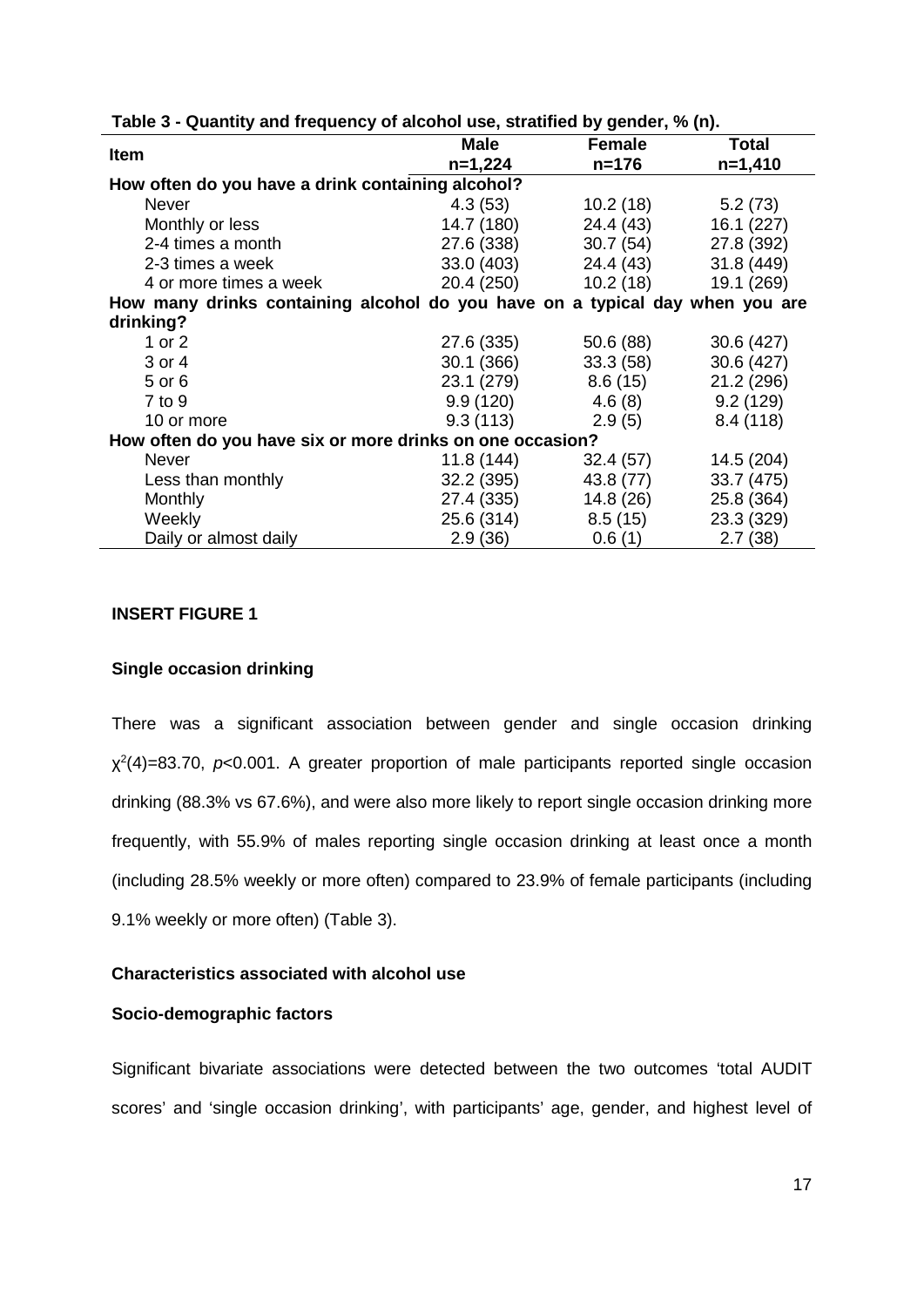| <b>Item</b>                                                                  | <b>Male</b> | <b>Female</b>        | <b>Total</b> |  |  |  |
|------------------------------------------------------------------------------|-------------|----------------------|--------------|--|--|--|
|                                                                              | $n=1,224$   | $n = 176$            | $n=1,410$    |  |  |  |
| How often do you have a drink containing alcohol?                            |             |                      |              |  |  |  |
| <b>Never</b>                                                                 | 4.3 (53)    | 10.2 (18)            | 5.2 (73)     |  |  |  |
| Monthly or less                                                              | 14.7 (180)  | 24.4 (43)            | 16.1(227)    |  |  |  |
| 2-4 times a month                                                            | 27.6 (338)  | 30.7 (54)            | 27.8 (392)   |  |  |  |
| 2-3 times a week                                                             | 33.0 (403)  | 24.4 (43)            | 31.8(449)    |  |  |  |
| 4 or more times a week                                                       |             | 20.4 (250) 10.2 (18) | 19.1 (269)   |  |  |  |
| How many drinks containing alcohol do you have on a typical day when you are |             |                      |              |  |  |  |
| drinking?                                                                    |             |                      |              |  |  |  |
| 1 or $2$                                                                     | 27.6 (335)  | 50.6 (88)            | 30.6(427)    |  |  |  |
| 3 or 4                                                                       | 30.1 (366)  | 33.3(58)             | 30.6 (427)   |  |  |  |
| 5 or 6                                                                       | 23.1 (279)  | 8.6 (15)             | 21.2 (296)   |  |  |  |
| $7$ to $9$                                                                   | 9.9 (120)   | 4.6 (8)              | 9.2(129)     |  |  |  |
| 10 or more                                                                   | 9.3(113)    | 2.9(5)               | 8.4(118)     |  |  |  |
| How often do you have six or more drinks on one occasion?                    |             |                      |              |  |  |  |
| Never                                                                        | 11.8(144)   | 32.4(57)             | 14.5 (204)   |  |  |  |
| Less than monthly                                                            | 32.2 (395)  | 43.8 (77)            | 33.7 (475)   |  |  |  |
| Monthly                                                                      | 27.4 (335)  | 14.8 (26)            | 25.8 (364)   |  |  |  |
| Weekly                                                                       | 25.6 (314)  | 8.5(15)              | 23.3 (329)   |  |  |  |
| Daily or almost daily                                                        | 2.9(36)     | 0.6(1)               | 2.7(38)      |  |  |  |

### **Table 3 - Quantity and frequency of alcohol use, stratified by gender, % (n).**

## **INSERT FIGURE 1**

#### **Single occasion drinking**

There was a significant association between gender and single occasion drinking χ2 (4)=83.70, *p*<0.001. A greater proportion of male participants reported single occasion drinking (88.3% vs 67.6%), and were also more likely to report single occasion drinking more frequently, with 55.9% of males reporting single occasion drinking at least once a month (including 28.5% weekly or more often) compared to 23.9% of female participants (including 9.1% weekly or more often) (Table 3).

#### **Characteristics associated with alcohol use**

#### **Socio-demographic factors**

Significant bivariate associations were detected between the two outcomes 'total AUDIT scores' and 'single occasion drinking', with participants' age, gender, and highest level of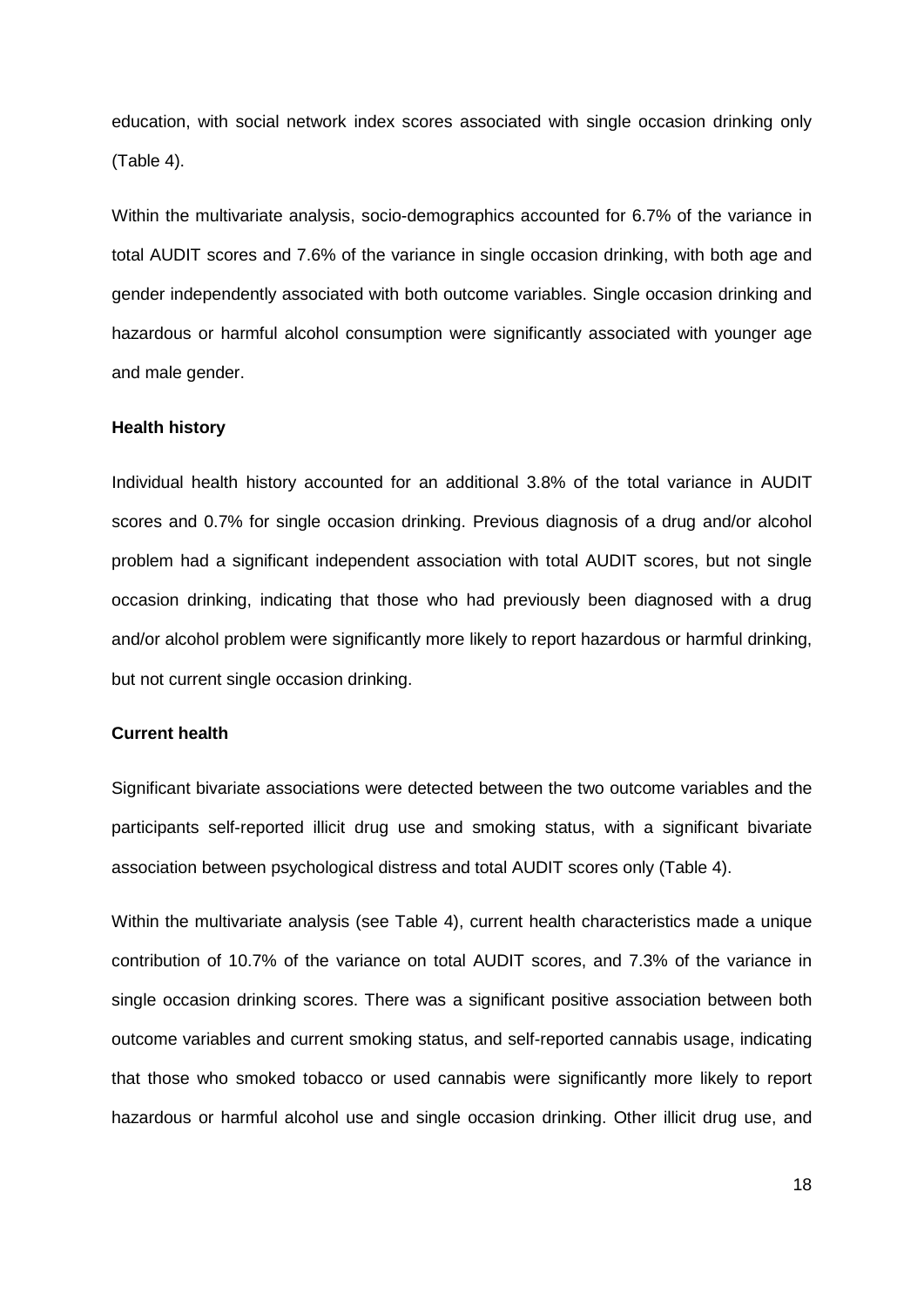education, with social network index scores associated with single occasion drinking only (Table 4).

Within the multivariate analysis, socio-demographics accounted for 6.7% of the variance in total AUDIT scores and 7.6% of the variance in single occasion drinking, with both age and gender independently associated with both outcome variables. Single occasion drinking and hazardous or harmful alcohol consumption were significantly associated with younger age and male gender.

#### **Health history**

Individual health history accounted for an additional 3.8% of the total variance in AUDIT scores and 0.7% for single occasion drinking. Previous diagnosis of a drug and/or alcohol problem had a significant independent association with total AUDIT scores, but not single occasion drinking, indicating that those who had previously been diagnosed with a drug and/or alcohol problem were significantly more likely to report hazardous or harmful drinking, but not current single occasion drinking.

#### **Current health**

Significant bivariate associations were detected between the two outcome variables and the participants self-reported illicit drug use and smoking status, with a significant bivariate association between psychological distress and total AUDIT scores only (Table 4).

Within the multivariate analysis (see Table 4), current health characteristics made a unique contribution of 10.7% of the variance on total AUDIT scores, and 7.3% of the variance in single occasion drinking scores. There was a significant positive association between both outcome variables and current smoking status, and self-reported cannabis usage, indicating that those who smoked tobacco or used cannabis were significantly more likely to report hazardous or harmful alcohol use and single occasion drinking. Other illicit drug use, and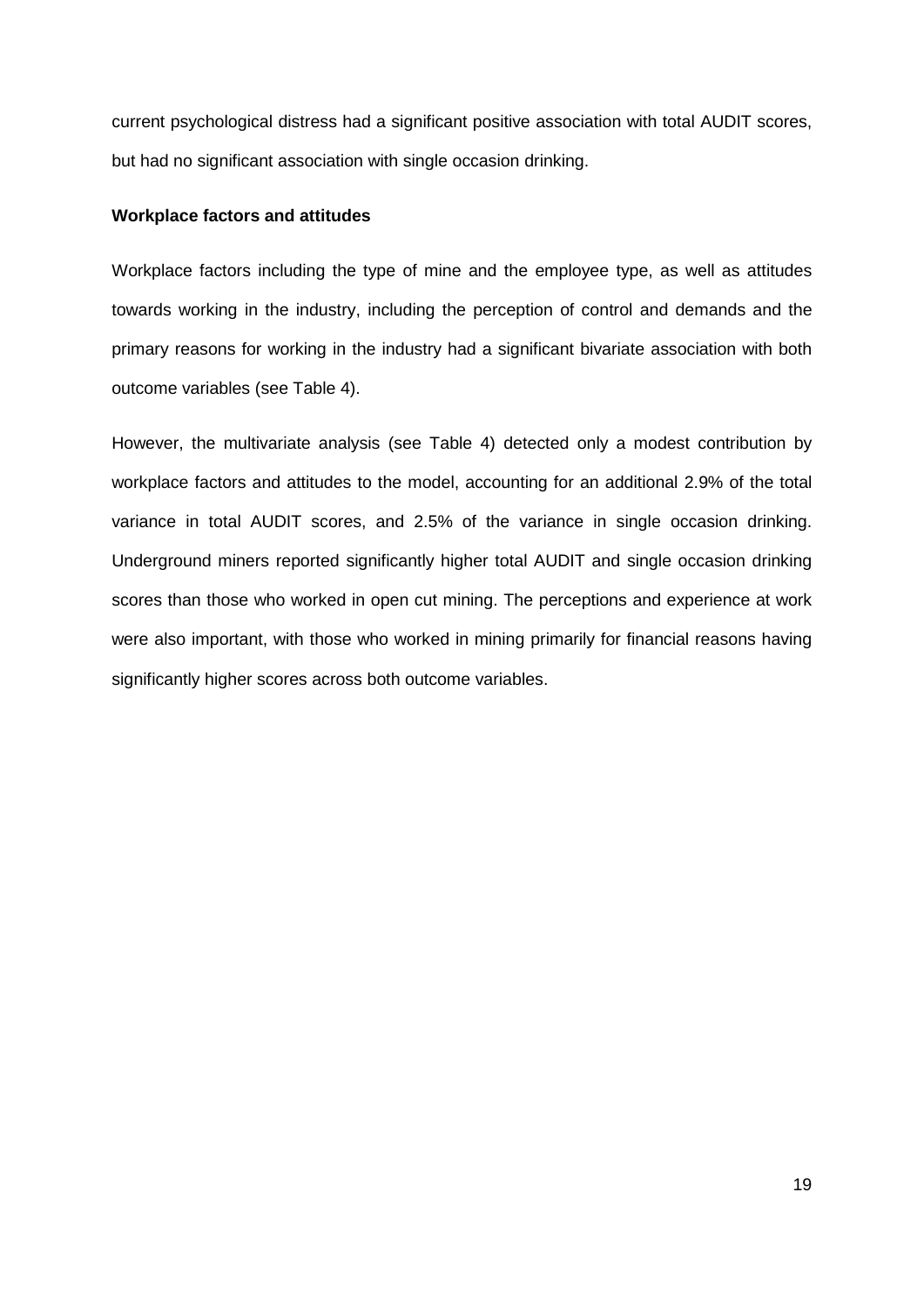current psychological distress had a significant positive association with total AUDIT scores, but had no significant association with single occasion drinking.

## **Workplace factors and attitudes**

Workplace factors including the type of mine and the employee type, as well as attitudes towards working in the industry, including the perception of control and demands and the primary reasons for working in the industry had a significant bivariate association with both outcome variables (see Table 4).

However, the multivariate analysis (see Table 4) detected only a modest contribution by workplace factors and attitudes to the model, accounting for an additional 2.9% of the total variance in total AUDIT scores, and 2.5% of the variance in single occasion drinking. Underground miners reported significantly higher total AUDIT and single occasion drinking scores than those who worked in open cut mining. The perceptions and experience at work were also important, with those who worked in mining primarily for financial reasons having significantly higher scores across both outcome variables.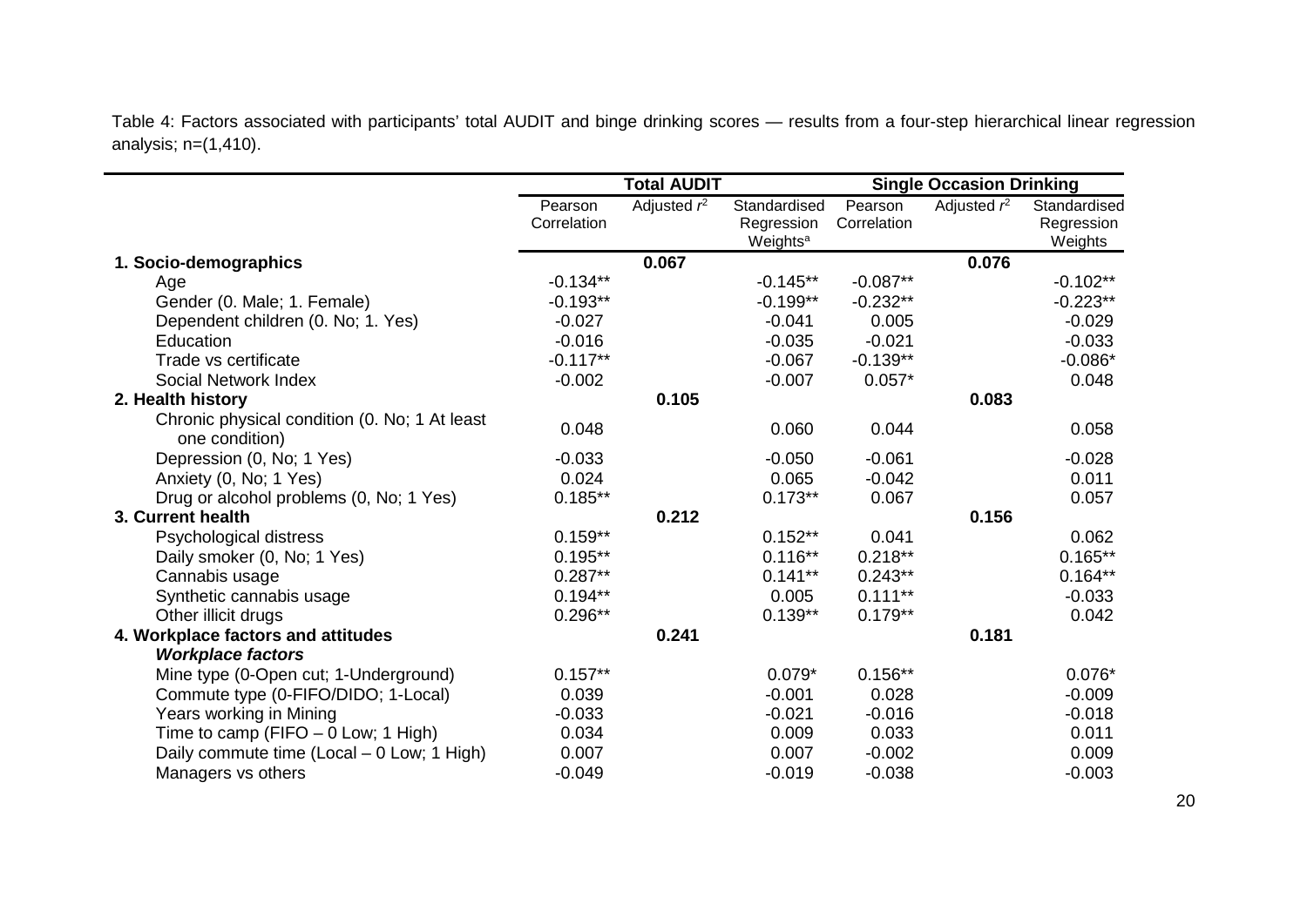Table 4: Factors associated with participants' total AUDIT and binge drinking scores — results from a four-step hierarchical linear regression analysis; n=(1,410).

|                                                                 |                        | <b>Total AUDIT</b> |                                                    |                        | <b>Single Occasion Drinking</b> |                                       |
|-----------------------------------------------------------------|------------------------|--------------------|----------------------------------------------------|------------------------|---------------------------------|---------------------------------------|
|                                                                 | Pearson<br>Correlation | Adjusted $r^2$     | Standardised<br>Regression<br>Weights <sup>a</sup> | Pearson<br>Correlation | Adjusted $r^2$                  | Standardised<br>Regression<br>Weights |
| 1. Socio-demographics                                           |                        | 0.067              |                                                    |                        | 0.076                           |                                       |
| Age                                                             | $-0.134**$             |                    | $-0.145**$                                         | $-0.087**$             |                                 | $-0.102**$                            |
| Gender (0. Male; 1. Female)                                     | $-0.193**$             |                    | $-0.199**$                                         | $-0.232**$             |                                 | $-0.223**$                            |
| Dependent children (0. No; 1. Yes)                              | $-0.027$               |                    | $-0.041$                                           | 0.005                  |                                 | $-0.029$                              |
| Education                                                       | $-0.016$               |                    | $-0.035$                                           | $-0.021$               |                                 | $-0.033$                              |
| Trade vs certificate                                            | $-0.117**$             |                    | $-0.067$                                           | $-0.139**$             |                                 | $-0.086*$                             |
| Social Network Index                                            | $-0.002$               |                    | $-0.007$                                           | $0.057*$               |                                 | 0.048                                 |
| 2. Health history                                               |                        | 0.105              |                                                    |                        | 0.083                           |                                       |
| Chronic physical condition (0. No; 1 At least<br>one condition) | 0.048                  |                    | 0.060                                              | 0.044                  |                                 | 0.058                                 |
| Depression (0, No; 1 Yes)                                       | $-0.033$               |                    | $-0.050$                                           | $-0.061$               |                                 | $-0.028$                              |
| Anxiety (0, No; 1 Yes)                                          | 0.024                  |                    | 0.065                                              | $-0.042$               |                                 | 0.011                                 |
| Drug or alcohol problems (0, No; 1 Yes)                         | $0.185**$              |                    | $0.173**$                                          | 0.067                  |                                 | 0.057                                 |
| 3. Current health                                               |                        | 0.212              |                                                    |                        | 0.156                           |                                       |
| Psychological distress                                          | $0.159**$              |                    | $0.152**$                                          | 0.041                  |                                 | 0.062                                 |
| Daily smoker (0, No; 1 Yes)                                     | $0.195**$              |                    | $0.116**$                                          | $0.218**$              |                                 | $0.165**$                             |
| Cannabis usage                                                  | $0.287**$              |                    | $0.141**$                                          | $0.243**$              |                                 | $0.164**$                             |
| Synthetic cannabis usage                                        | $0.194**$              |                    | 0.005                                              | $0.111***$             |                                 | $-0.033$                              |
| Other illicit drugs                                             | $0.296**$              |                    | $0.139**$                                          | $0.179**$              |                                 | 0.042                                 |
| 4. Workplace factors and attitudes                              |                        | 0.241              |                                                    |                        | 0.181                           |                                       |
| <b>Workplace factors</b>                                        |                        |                    |                                                    |                        |                                 |                                       |
| Mine type (0-Open cut; 1-Underground)                           | $0.157**$              |                    | $0.079*$                                           | $0.156**$              |                                 | $0.076*$                              |
| Commute type (0-FIFO/DIDO; 1-Local)                             | 0.039                  |                    | $-0.001$                                           | 0.028                  |                                 | $-0.009$                              |
| Years working in Mining                                         | $-0.033$               |                    | $-0.021$                                           | $-0.016$               |                                 | $-0.018$                              |
| Time to camp (FIFO $-$ 0 Low; 1 High)                           | 0.034                  |                    | 0.009                                              | 0.033                  |                                 | 0.011                                 |
| Daily commute time (Local – 0 Low; 1 High)                      | 0.007                  |                    | 0.007                                              | $-0.002$               |                                 | 0.009                                 |
| Managers vs others                                              | $-0.049$               |                    | $-0.019$                                           | $-0.038$               |                                 | $-0.003$                              |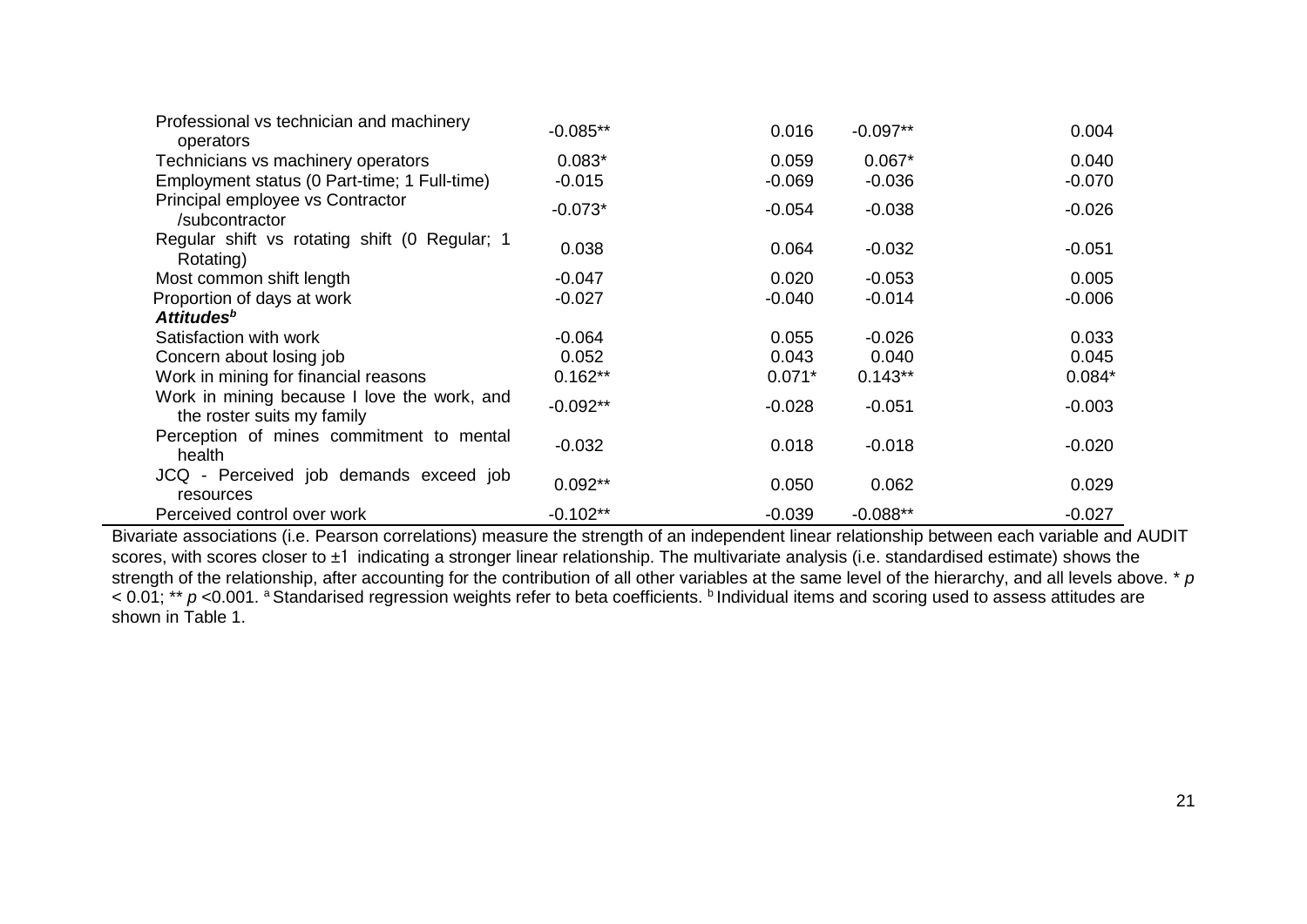| Professional vs technician and machinery<br>operators                     | $-0.085**$ | 0.016    | $-0.097**$ | 0.004    |
|---------------------------------------------------------------------------|------------|----------|------------|----------|
| Technicians vs machinery operators                                        | $0.083*$   | 0.059    | $0.067*$   | 0.040    |
| Employment status (0 Part-time; 1 Full-time)                              | $-0.015$   | $-0.069$ | $-0.036$   | $-0.070$ |
| Principal employee vs Contractor<br>/subcontractor                        | $-0.073*$  | $-0.054$ | $-0.038$   | $-0.026$ |
| Regular shift vs rotating shift (0 Regular; 1<br>Rotating)                | 0.038      | 0.064    | $-0.032$   | $-0.051$ |
| Most common shift length                                                  | $-0.047$   | 0.020    | $-0.053$   | 0.005    |
| Proportion of days at work                                                | $-0.027$   | $-0.040$ | $-0.014$   | $-0.006$ |
| Attitudes <sup>b</sup>                                                    |            |          |            |          |
| Satisfaction with work                                                    | $-0.064$   | 0.055    | $-0.026$   | 0.033    |
| Concern about losing job                                                  | 0.052      | 0.043    | 0.040      | 0.045    |
| Work in mining for financial reasons                                      | $0.162**$  | $0.071*$ | $0.143**$  | $0.084*$ |
| Work in mining because I love the work, and<br>the roster suits my family | $-0.092**$ | $-0.028$ | $-0.051$   | $-0.003$ |
| Perception of mines commitment to mental<br>health                        | $-0.032$   | 0.018    | $-0.018$   | $-0.020$ |
| JCQ - Perceived job demands exceed job<br>resources                       | $0.092**$  | 0.050    | 0.062      | 0.029    |
| Perceived control over work                                               | $-0.102**$ | $-0.039$ | $-0.088**$ | $-0.027$ |

Bivariate associations (i.e. Pearson correlations) measure the strength of an independent linear relationship between each variable and AUDIT scores, with scores closer to ±1 indicating a stronger linear relationship. The multivariate analysis (i.e. standardised estimate) shows the strength of the relationship, after accounting for the contribution of all other variables at the same level of the hierarchy, and all levels above. \* *p* < 0.01; \*\* *p* <0.001. <sup>a</sup> Standarised regression weights refer to beta coefficients. **b** Individual items and scoring used to assess attitudes are shown in Table 1.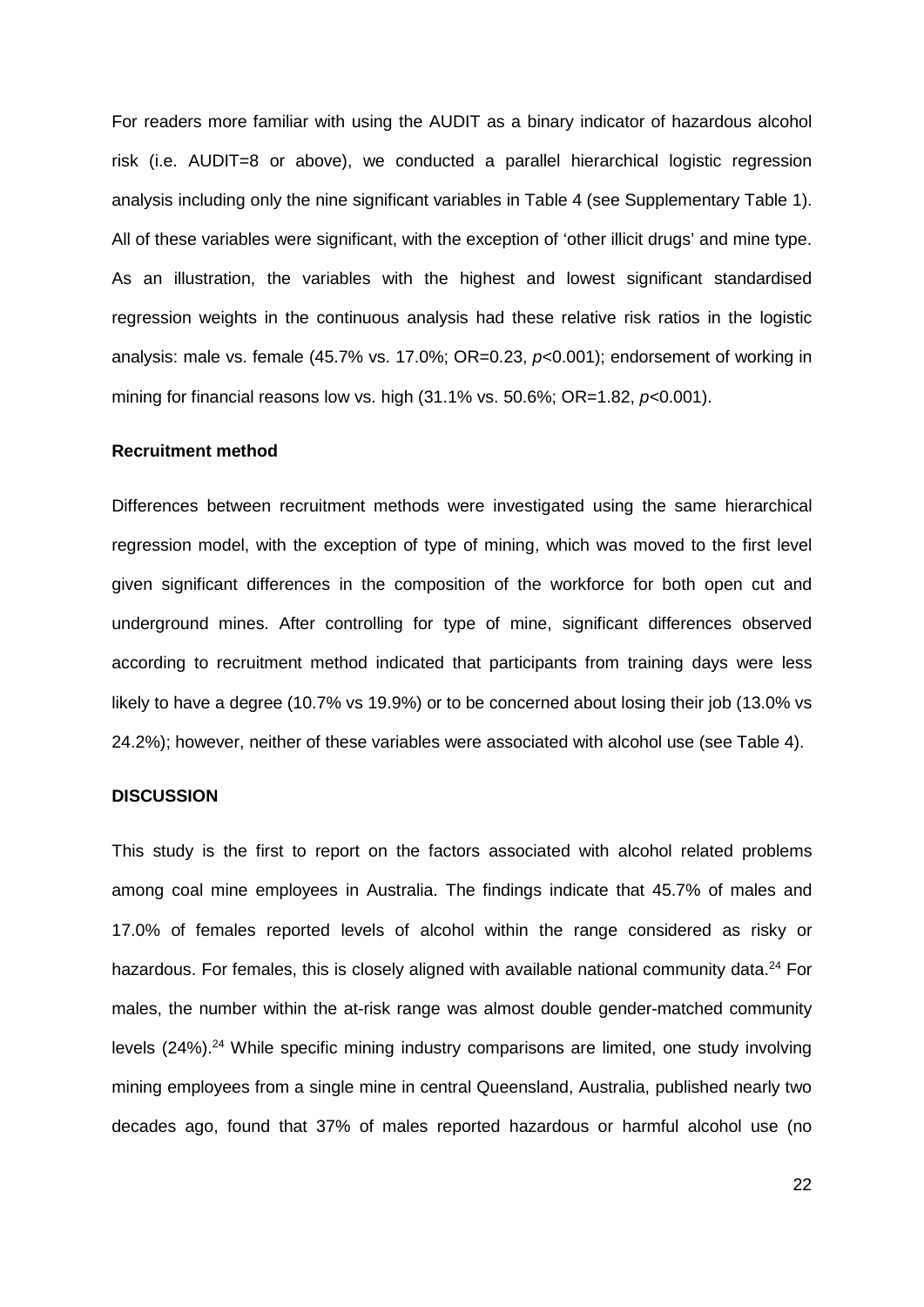For readers more familiar with using the AUDIT as a binary indicator of hazardous alcohol risk (i.e. AUDIT=8 or above), we conducted a parallel hierarchical logistic regression analysis including only the nine significant variables in Table 4 (see Supplementary Table 1). All of these variables were significant, with the exception of 'other illicit drugs' and mine type. As an illustration, the variables with the highest and lowest significant standardised regression weights in the continuous analysis had these relative risk ratios in the logistic analysis: male vs. female (45.7% vs. 17.0%; OR=0.23, *p*<0.001); endorsement of working in mining for financial reasons low vs. high (31.1% vs. 50.6%; OR=1.82, *p<*0.001).

#### **Recruitment method**

Differences between recruitment methods were investigated using the same hierarchical regression model, with the exception of type of mining, which was moved to the first level given significant differences in the composition of the workforce for both open cut and underground mines. After controlling for type of mine, significant differences observed according to recruitment method indicated that participants from training days were less likely to have a degree (10.7% vs 19.9%) or to be concerned about losing their job (13.0% vs 24.2%); however, neither of these variables were associated with alcohol use (see Table 4).

#### **DISCUSSION**

This study is the first to report on the factors associated with alcohol related problems among coal mine employees in Australia. The findings indicate that 45.7% of males and 17.0% of females reported levels of alcohol within the range considered as risky or hazardous. For females, this is closely aligned with available national community data.<sup>[24](#page-30-3)</sup> For males, the number within the at-risk range was almost double gender-matched community levels ([24](#page-30-3)%).<sup>24</sup> While specific mining industry comparisons are limited, one study involving mining employees from a single mine in central Queensland, Australia, published nearly two decades ago, found that 37% of males reported hazardous or harmful alcohol use (no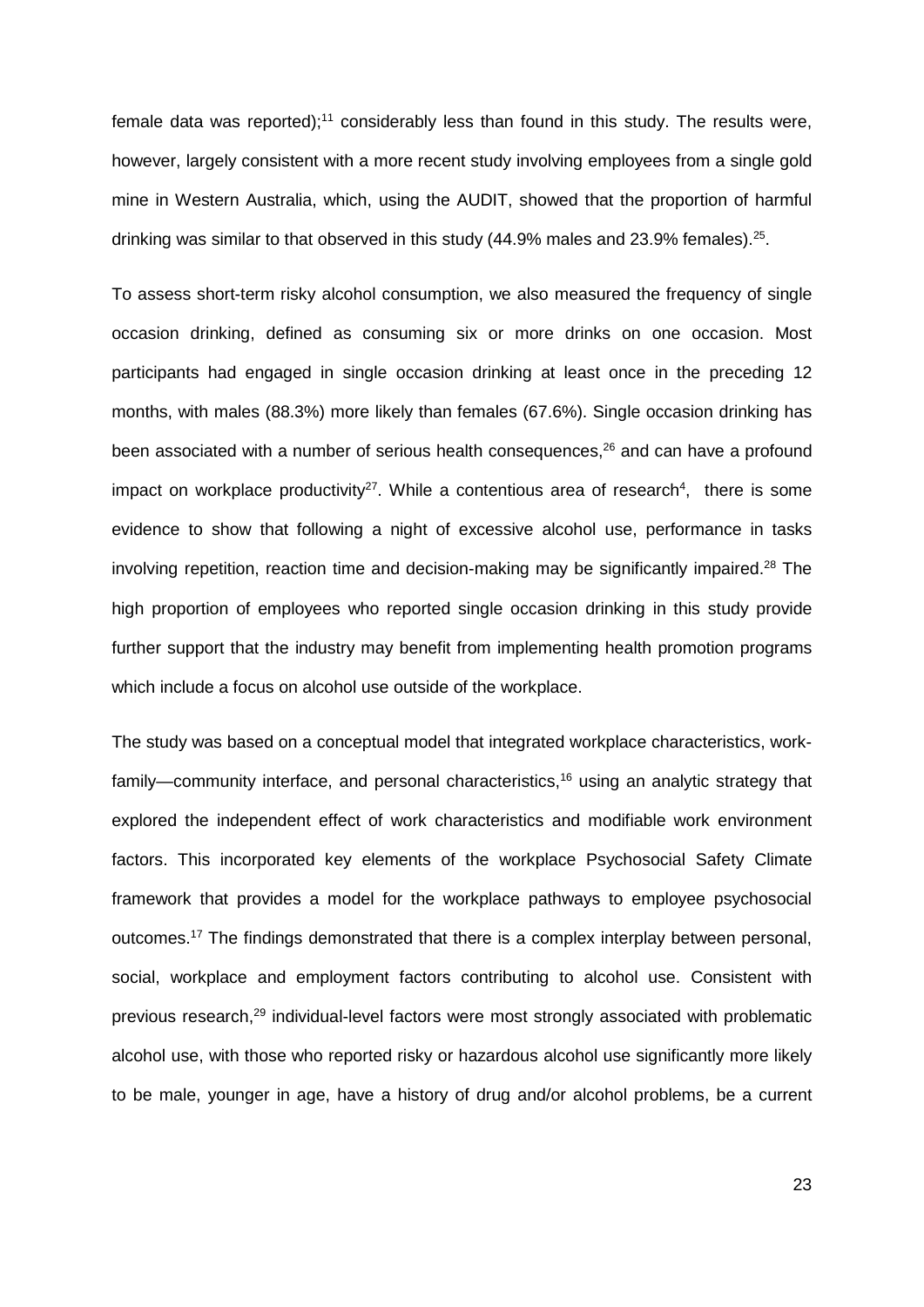female data was reported);<sup>[11](#page-29-10)</sup> considerably less than found in this study. The results were, however, largely consistent with a more recent study involving employees from a single gold mine in Western Australia, which, using the AUDIT, showed that the proportion of harmful drinking was similar to that observed in this study (44.9% males and 23.9% females).<sup>25</sup>.

To assess short-term risky alcohol consumption, we also measured the frequency of single occasion drinking, defined as consuming six or more drinks on one occasion. Most participants had engaged in single occasion drinking at least once in the preceding 12 months, with males (88.3%) more likely than females (67.6%). Single occasion drinking has been associated with a number of serious health consequences, [26](#page-30-5) and can have a profound impact on workplace productivity<sup>27</sup>. While a contentious area of research<sup>4</sup>, there is some evidence to show that following a night of excessive alcohol use, performance in tasks involving repetition, reaction time and decision-making may be significantly impaired. [28](#page-30-7) The high proportion of employees who reported single occasion drinking in this study provide further support that the industry may benefit from implementing health promotion programs which include a focus on alcohol use outside of the workplace.

The study was based on a conceptual model that integrated workplace characteristics, workfamily—community interface, and personal characteristics,<sup>16</sup> using an analytic strategy that explored the independent effect of work characteristics and modifiable work environment factors. This incorporated key elements of the workplace Psychosocial Safety Climate framework that provides a model for the workplace pathways to employee psychosocial outcomes[.17](#page-29-16) The findings demonstrated that there is a complex interplay between personal, social, workplace and employment factors contributing to alcohol use. Consistent with previous research, [29](#page-30-8) individual-level factors were most strongly associated with problematic alcohol use, with those who reported risky or hazardous alcohol use significantly more likely to be male, younger in age, have a history of drug and/or alcohol problems, be a current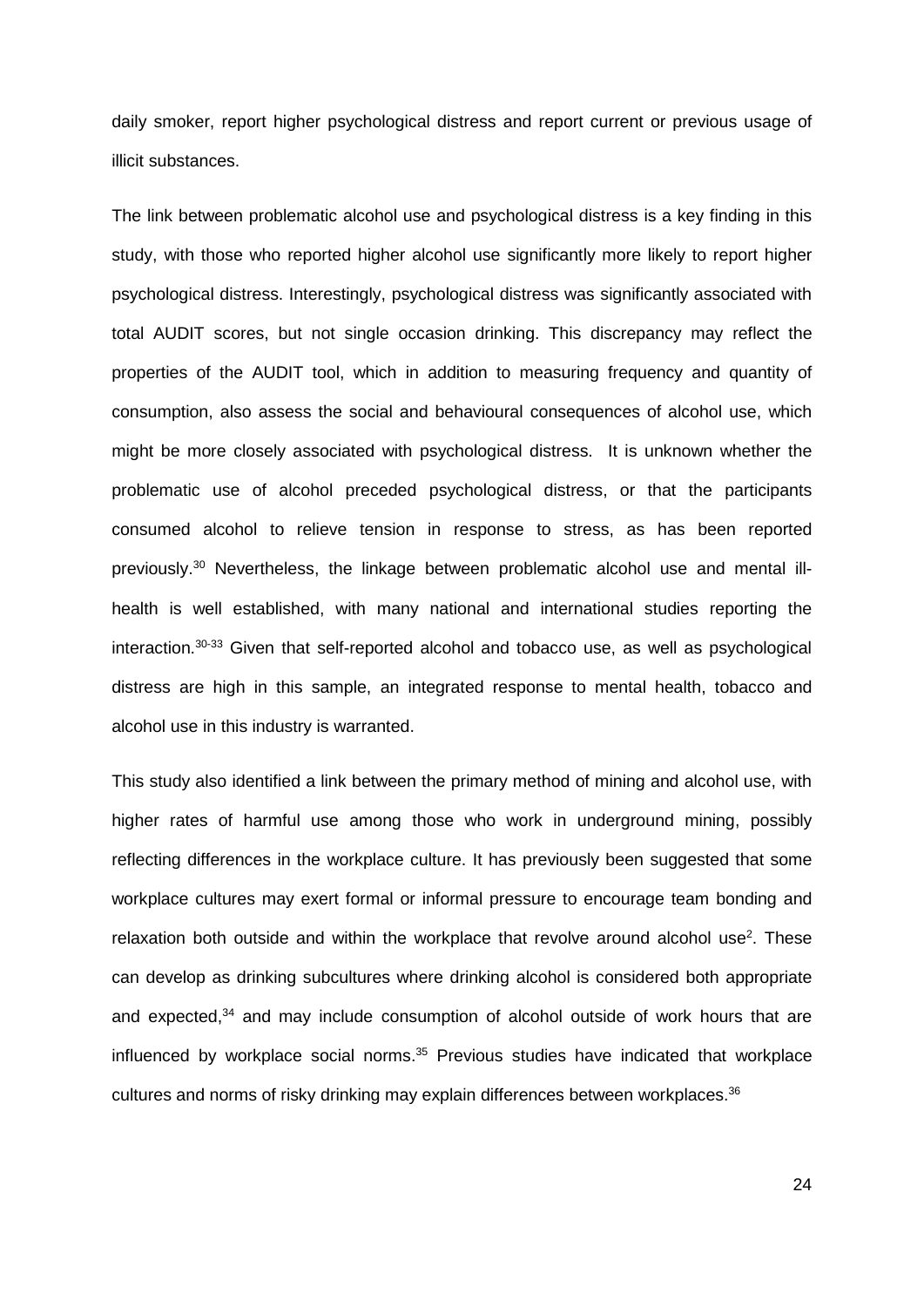daily smoker, report higher psychological distress and report current or previous usage of illicit substances.

The link between problematic alcohol use and psychological distress is a key finding in this study, with those who reported higher alcohol use significantly more likely to report higher psychological distress. Interestingly, psychological distress was significantly associated with total AUDIT scores, but not single occasion drinking. This discrepancy may reflect the properties of the AUDIT tool, which in addition to measuring frequency and quantity of consumption, also assess the social and behavioural consequences of alcohol use, which might be more closely associated with psychological distress. It is unknown whether the problematic use of alcohol preceded psychological distress, or that the participants consumed alcohol to relieve tension in response to stress, as has been reported previously. [30](#page-30-9) Nevertheless, the linkage between problematic alcohol use and mental illhealth is well established, with many national and international studies reporting the interaction[.30-33](#page-30-9) Given that self-reported alcohol and tobacco use, as well as psychological distress are high in this sample, an integrated response to mental health, tobacco and alcohol use in this industry is warranted.

This study also identified a link between the primary method of mining and alcohol use, with higher rates of harmful use among those who work in underground mining, possibly reflecting differences in the workplace culture. It has previously been suggested that some workplace cultures may exert formal or informal pressure to encourage team bonding and relaxation both outside and within the workplace that revolve around alcohol use<sup>2</sup>. These can develop as drinking subcultures where drinking alcohol is considered both appropriate and expected,<sup>[34](#page-30-10)</sup> and may include consumption of alcohol outside of work hours that are influenced by workplace social norms. [35](#page-30-11) Previous studies have indicated that workplace cultures and norms of risky drinking may explain differences between workplaces.<sup>36</sup>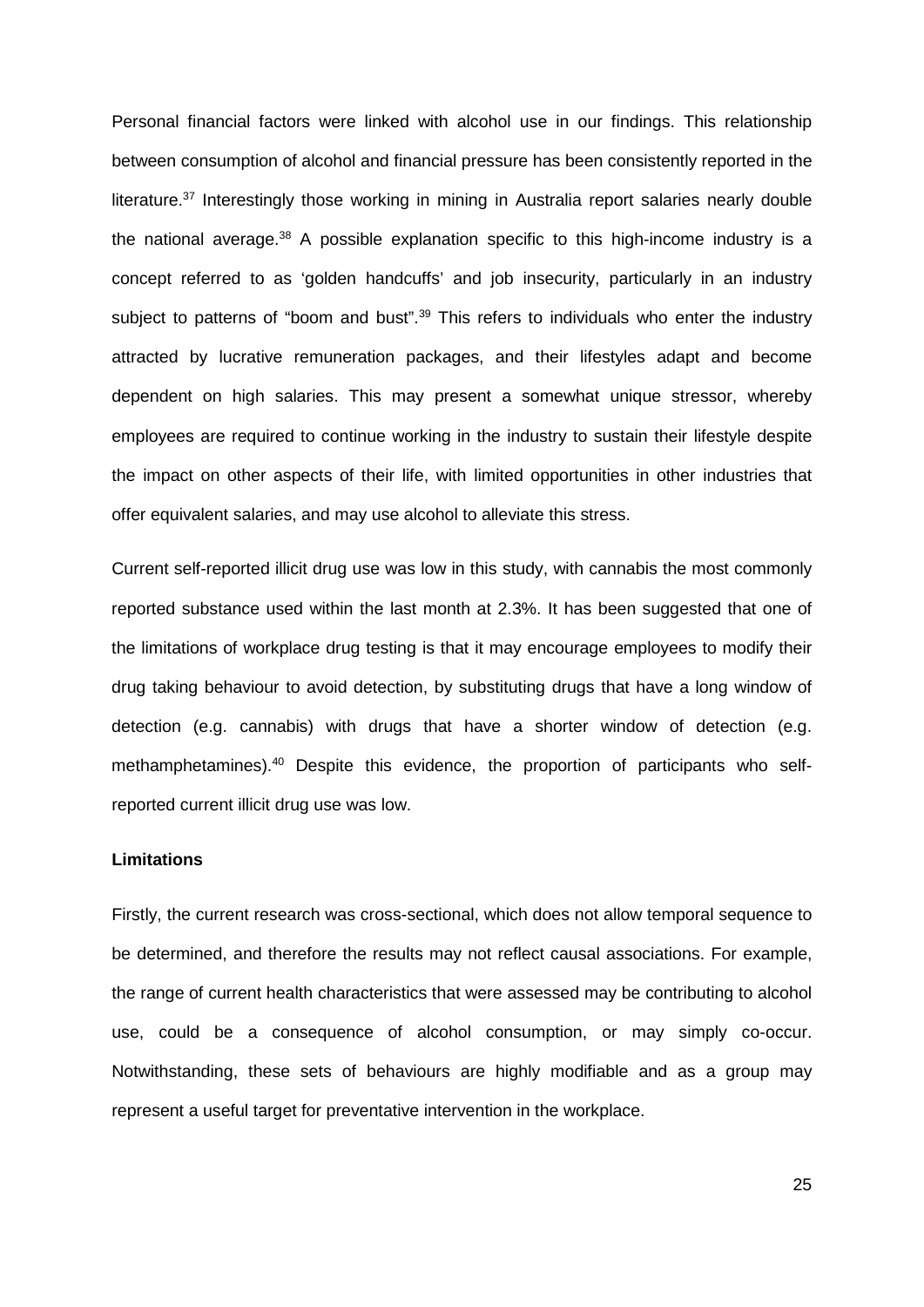Personal financial factors were linked with alcohol use in our findings. This relationship between consumption of alcohol and financial pressure has been consistently reported in the literature. [37](#page-30-13) Interestingly those working in mining in Australia report salaries nearly double the national average.<sup>[38](#page-30-14)</sup> A possible explanation specific to this high-income industry is a concept referred to as 'golden handcuffs' and job insecurity, particularly in an industry subject to patterns of "boom and bust".<sup>[39](#page-31-0)</sup> This refers to individuals who enter the industry attracted by lucrative remuneration packages, and their lifestyles adapt and become dependent on high salaries. This may present a somewhat unique stressor, whereby employees are required to continue working in the industry to sustain their lifestyle despite the impact on other aspects of their life, with limited opportunities in other industries that offer equivalent salaries, and may use alcohol to alleviate this stress.

Current self-reported illicit drug use was low in this study, with cannabis the most commonly reported substance used within the last month at 2.3%. It has been suggested that one of the limitations of workplace drug testing is that it may encourage employees to modify their drug taking behaviour to avoid detection, by substituting drugs that have a long window of detection (e.g. cannabis) with drugs that have a shorter window of detection (e.g. methamphetamines).<sup>[40](#page-31-1)</sup> Despite this evidence, the proportion of participants who selfreported current illicit drug use was low.

## **Limitations**

Firstly, the current research was cross-sectional, which does not allow temporal sequence to be determined, and therefore the results may not reflect causal associations. For example, the range of current health characteristics that were assessed may be contributing to alcohol use, could be a consequence of alcohol consumption, or may simply co-occur. Notwithstanding, these sets of behaviours are highly modifiable and as a group may represent a useful target for preventative intervention in the workplace.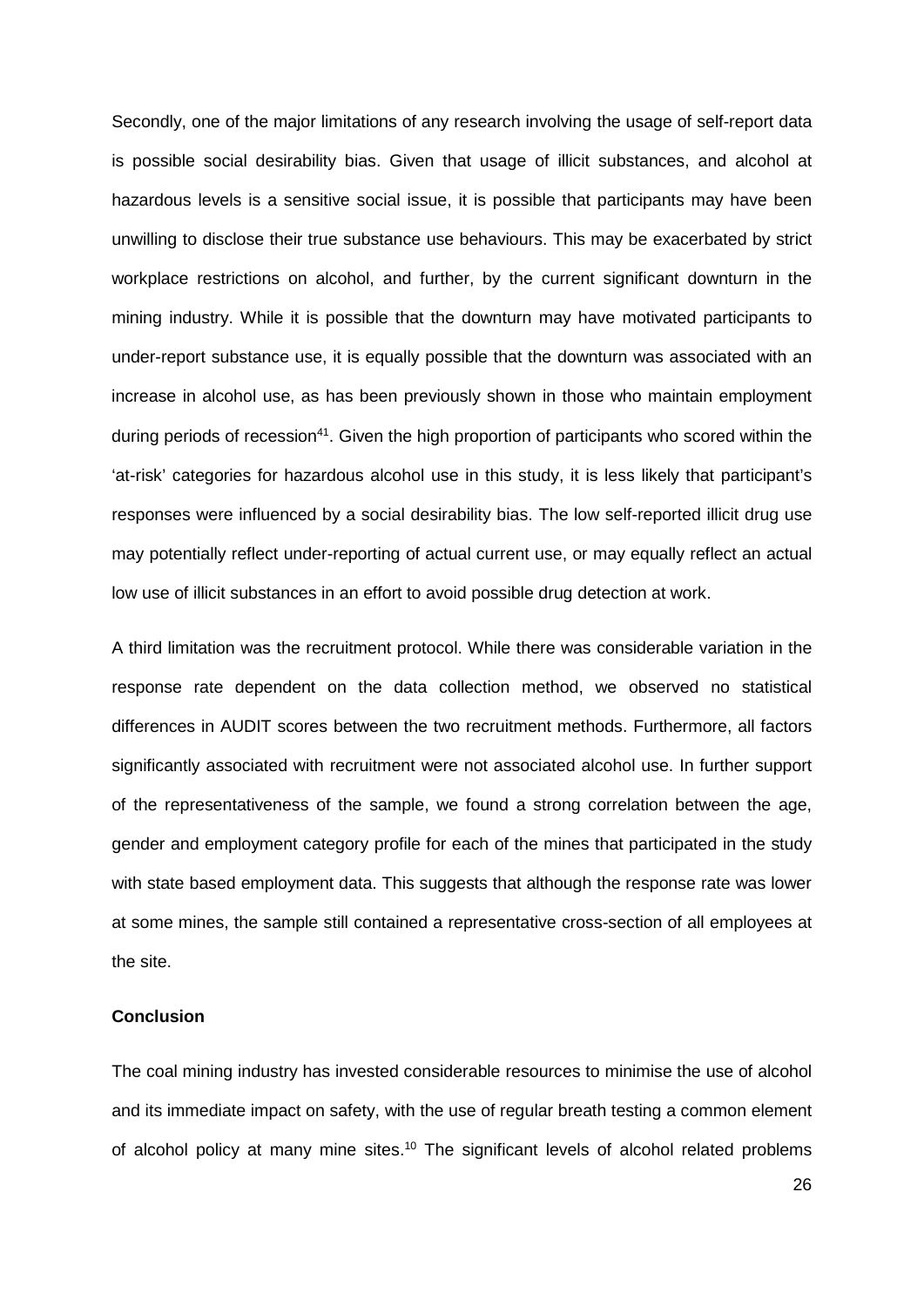Secondly, one of the major limitations of any research involving the usage of self-report data is possible social desirability bias. Given that usage of illicit substances, and alcohol at hazardous levels is a sensitive social issue, it is possible that participants may have been unwilling to disclose their true substance use behaviours. This may be exacerbated by strict workplace restrictions on alcohol, and further, by the current significant downturn in the mining industry. While it is possible that the downturn may have motivated participants to under-report substance use, it is equally possible that the downturn was associated with an increase in alcohol use, as has been previously shown in those who maintain employment during periods of recession<sup>41</sup>. Given the high proportion of participants who scored within the 'at-risk' categories for hazardous alcohol use in this study, it is less likely that participant's responses were influenced by a social desirability bias. The low self-reported illicit drug use may potentially reflect under-reporting of actual current use, or may equally reflect an actual low use of illicit substances in an effort to avoid possible drug detection at work.

A third limitation was the recruitment protocol. While there was considerable variation in the response rate dependent on the data collection method, we observed no statistical differences in AUDIT scores between the two recruitment methods. Furthermore, all factors significantly associated with recruitment were not associated alcohol use. In further support of the representativeness of the sample, we found a strong correlation between the age, gender and employment category profile for each of the mines that participated in the study with state based employment data. This suggests that although the response rate was lower at some mines, the sample still contained a representative cross-section of all employees at the site.

## **Conclusion**

The coal mining industry has invested considerable resources to minimise the use of alcohol and its immediate impact on safety, with the use of regular breath testing a common element of alcohol policy at many mine sites.<sup>[10](#page-29-9)</sup> The significant levels of alcohol related problems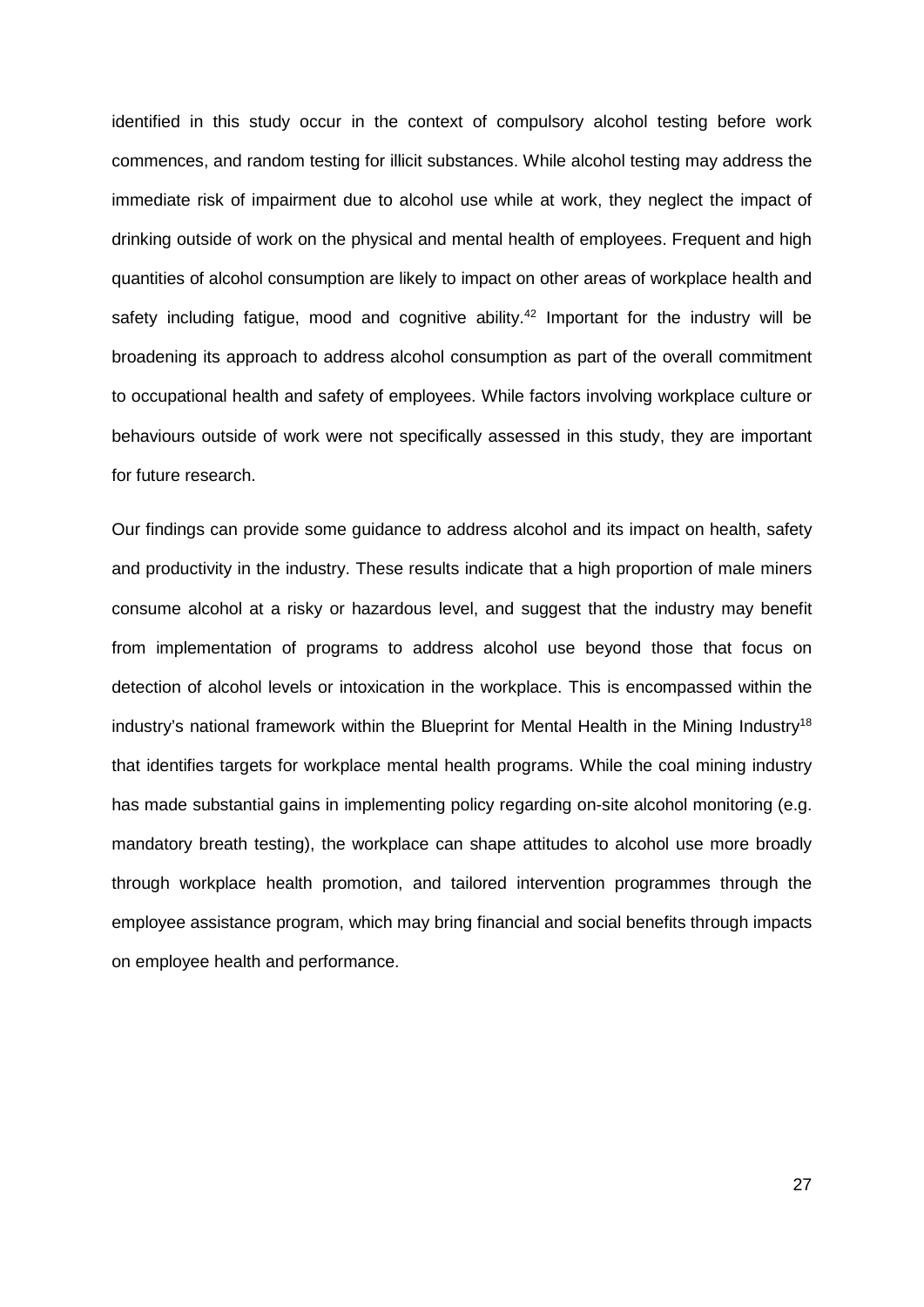identified in this study occur in the context of compulsory alcohol testing before work commences, and random testing for illicit substances. While alcohol testing may address the immediate risk of impairment due to alcohol use while at work, they neglect the impact of drinking outside of work on the physical and mental health of employees. Frequent and high quantities of alcohol consumption are likely to impact on other areas of workplace health and safety including fatigue, mood and cognitive ability.<sup>[42](#page-31-3)</sup> Important for the industry will be broadening its approach to address alcohol consumption as part of the overall commitment to occupational health and safety of employees. While factors involving workplace culture or behaviours outside of work were not specifically assessed in this study, they are important for future research.

Our findings can provide some guidance to address alcohol and its impact on health, safety and productivity in the industry. These results indicate that a high proportion of male miners consume alcohol at a risky or hazardous level, and suggest that the industry may benefit from implementation of programs to address alcohol use beyond those that focus on detection of alcohol levels or intoxication in the workplace. This is encompassed within the industry's national framework within the Blueprint for Mental Health in the Mining Industry<sup>18</sup> that identifies targets for workplace mental health programs. While the coal mining industry has made substantial gains in implementing policy regarding on-site alcohol monitoring (e.g. mandatory breath testing), the workplace can shape attitudes to alcohol use more broadly through workplace health promotion, and tailored intervention programmes through the employee assistance program, which may bring financial and social benefits through impacts on employee health and performance.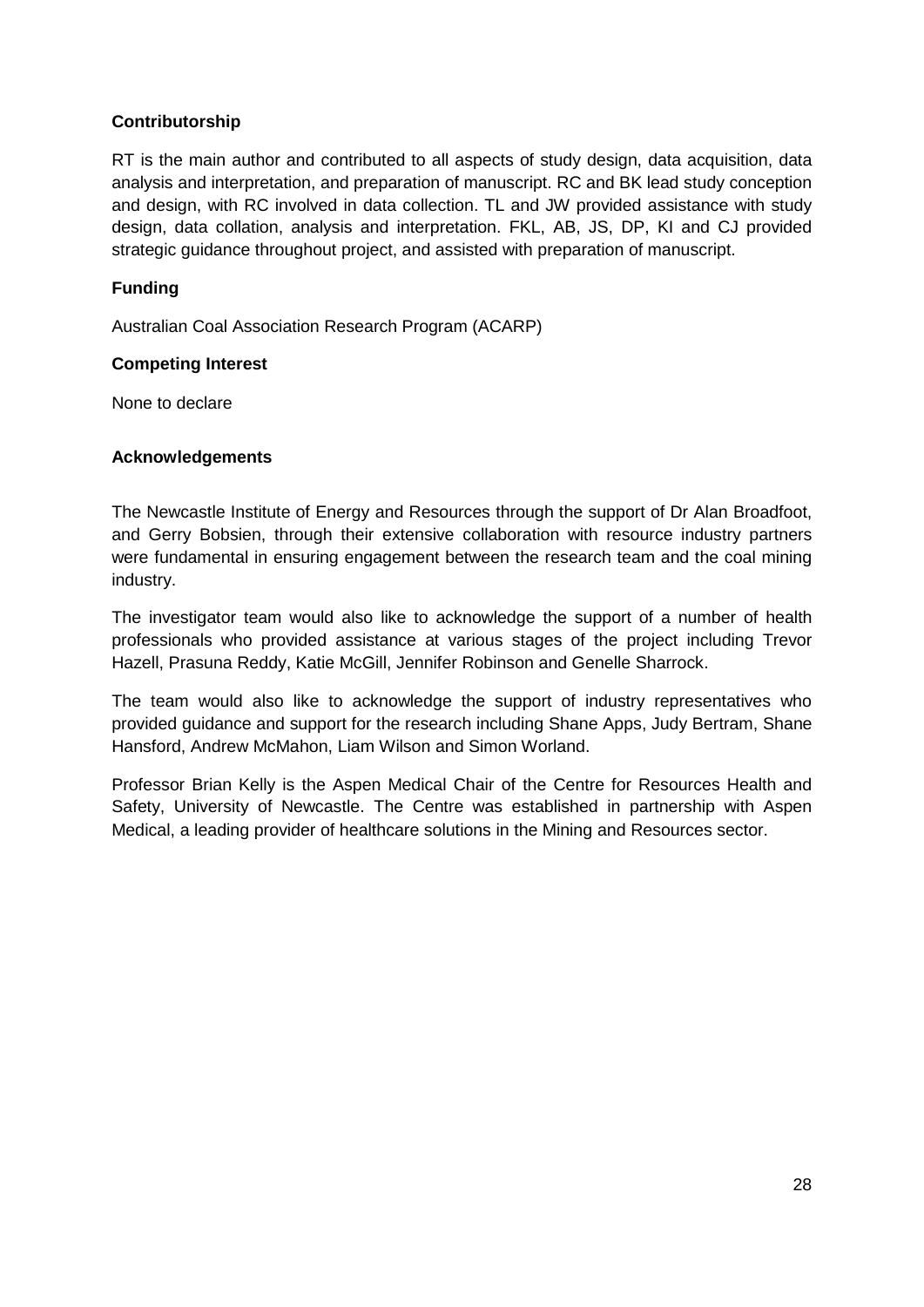# **Contributorship**

RT is the main author and contributed to all aspects of study design, data acquisition, data analysis and interpretation, and preparation of manuscript. RC and BK lead study conception and design, with RC involved in data collection. TL and JW provided assistance with study design, data collation, analysis and interpretation. FKL, AB, JS, DP, KI and CJ provided strategic guidance throughout project, and assisted with preparation of manuscript.

# **Funding**

Australian Coal Association Research Program (ACARP)

# **Competing Interest**

None to declare

## **Acknowledgements**

The Newcastle Institute of Energy and Resources through the support of Dr Alan Broadfoot, and Gerry Bobsien, through their extensive collaboration with resource industry partners were fundamental in ensuring engagement between the research team and the coal mining industry.

The investigator team would also like to acknowledge the support of a number of health professionals who provided assistance at various stages of the project including Trevor Hazell, Prasuna Reddy, Katie McGill, Jennifer Robinson and Genelle Sharrock.

The team would also like to acknowledge the support of industry representatives who provided guidance and support for the research including Shane Apps, Judy Bertram, Shane Hansford, Andrew McMahon, Liam Wilson and Simon Worland.

Professor Brian Kelly is the Aspen Medical Chair of the Centre for Resources Health and Safety, University of Newcastle. The Centre was established in partnership with Aspen Medical, a leading provider of healthcare solutions in the Mining and Resources sector.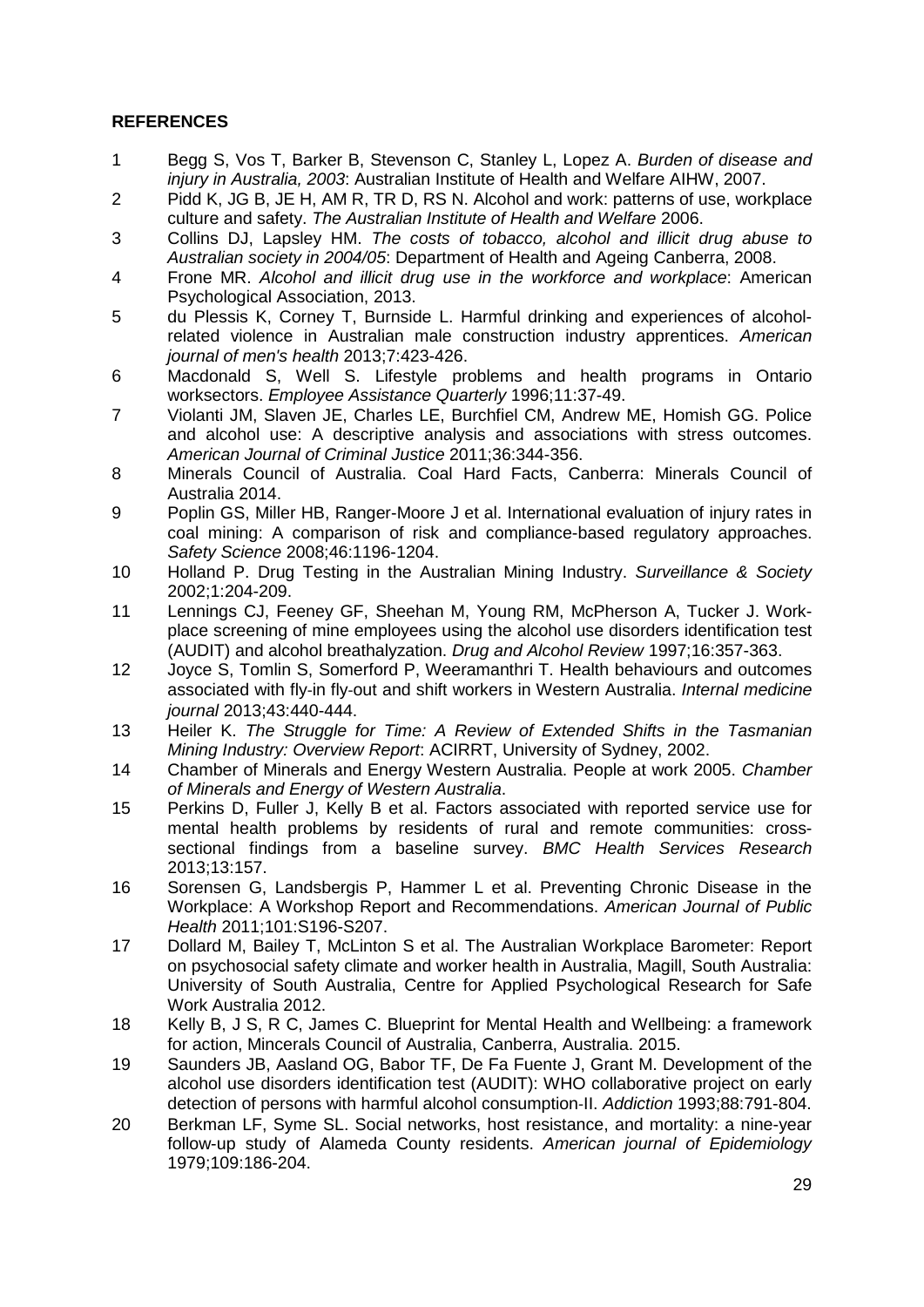# **REFERENCES**

- <span id="page-29-0"></span>1 Begg S, Vos T, Barker B, Stevenson C, Stanley L, Lopez A. *Burden of disease and injury in Australia, 2003*: Australian Institute of Health and Welfare AIHW, 2007.
- <span id="page-29-1"></span>2 Pidd K, JG B, JE H, AM R, TR D, RS N. Alcohol and work: patterns of use, workplace culture and safety. *The Australian Institute of Health and Welfare* 2006.
- <span id="page-29-2"></span>3 Collins DJ, Lapsley HM. *The costs of tobacco, alcohol and illicit drug abuse to Australian society in 2004/05*: Department of Health and Ageing Canberra, 2008.
- <span id="page-29-3"></span>4 Frone MR. *Alcohol and illicit drug use in the workforce and workplace*: American Psychological Association, 2013.
- <span id="page-29-4"></span>5 du Plessis K, Corney T, Burnside L. Harmful drinking and experiences of alcoholrelated violence in Australian male construction industry apprentices. *American journal of men's health* 2013;7:423-426.
- <span id="page-29-5"></span>6 Macdonald S, Well S. Lifestyle problems and health programs in Ontario worksectors. *Employee Assistance Quarterly* 1996;11:37-49.
- <span id="page-29-6"></span>7 Violanti JM, Slaven JE, Charles LE, Burchfiel CM, Andrew ME, Homish GG. Police and alcohol use: A descriptive analysis and associations with stress outcomes. *American Journal of Criminal Justice* 2011;36:344-356.
- <span id="page-29-7"></span>8 Minerals Council of Australia. Coal Hard Facts, Canberra: Minerals Council of Australia 2014.
- <span id="page-29-8"></span>9 Poplin GS, Miller HB, Ranger-Moore J et al. International evaluation of injury rates in coal mining: A comparison of risk and compliance-based regulatory approaches. *Safety Science* 2008;46:1196-1204.
- <span id="page-29-9"></span>10 Holland P. Drug Testing in the Australian Mining Industry. *Surveillance & Society* 2002;1:204-209.
- <span id="page-29-10"></span>11 Lennings CJ, Feeney GF, Sheehan M, Young RM, McPherson A, Tucker J. Workplace screening of mine employees using the alcohol use disorders identification test (AUDIT) and alcohol breathalyzation. *Drug and Alcohol Review* 1997;16:357-363.
- <span id="page-29-11"></span>12 Joyce S, Tomlin S, Somerford P, Weeramanthri T. Health behaviours and outcomes associated with fly‐in fly‐out and shift workers in Western Australia. *Internal medicine journal* 2013;43:440-444.
- <span id="page-29-12"></span>13 Heiler K. *The Struggle for Time: A Review of Extended Shifts in the Tasmanian Mining Industry: Overview Report*: ACIRRT, University of Sydney, 2002.
- <span id="page-29-13"></span>14 Chamber of Minerals and Energy Western Australia. People at work 2005. *Chamber of Minerals and Energy of Western Australia*.
- <span id="page-29-14"></span>15 Perkins D, Fuller J, Kelly B et al. Factors associated with reported service use for mental health problems by residents of rural and remote communities: crosssectional findings from a baseline survey. *BMC Health Services Research* 2013;13:157.
- <span id="page-29-15"></span>16 Sorensen G, Landsbergis P, Hammer L et al. Preventing Chronic Disease in the Workplace: A Workshop Report and Recommendations. *American Journal of Public Health* 2011;101:S196-S207.
- <span id="page-29-16"></span>17 Dollard M, Bailey T, McLinton S et al. The Australian Workplace Barometer: Report on psychosocial safety climate and worker health in Australia, Magill, South Australia: University of South Australia, Centre for Applied Psychological Research for Safe Work Australia 2012.
- <span id="page-29-17"></span>18 Kelly B, J S, R C, James C. Blueprint for Mental Health and Wellbeing: a framework for action, Mincerals Council of Australia, Canberra, Australia. 2015.
- <span id="page-29-18"></span>19 Saunders JB, Aasland OG, Babor TF, De Fa Fuente J, Grant M. Development of the alcohol use disorders identification test (AUDIT): WHO collaborative project on early detection of persons with harmful alcohol consumption‐II. *Addiction* 1993;88:791-804.
- <span id="page-29-19"></span>20 Berkman LF, Syme SL. Social networks, host resistance, and mortality: a nine-year follow-up study of Alameda County residents. *American journal of Epidemiology* 1979;109:186-204.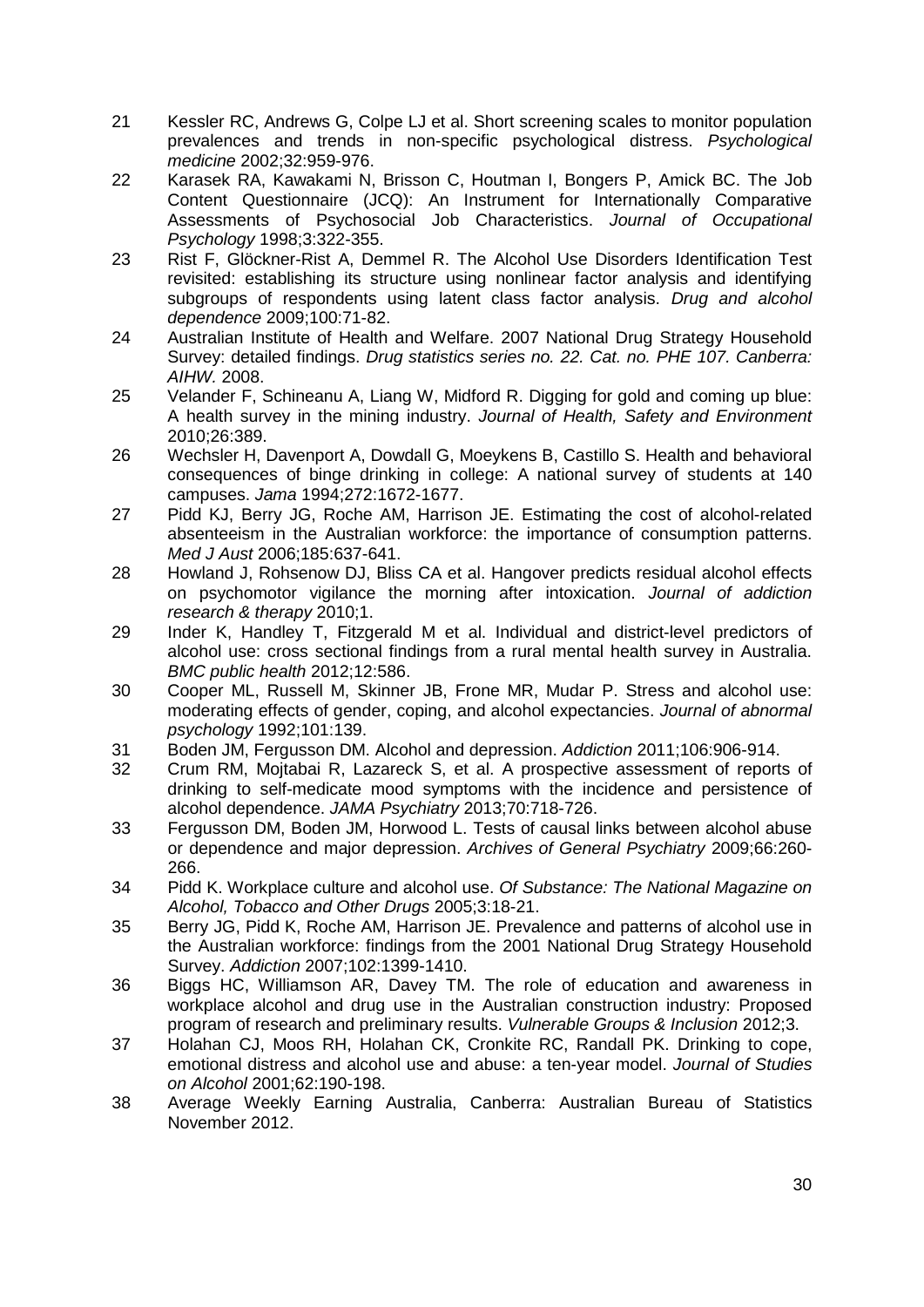- <span id="page-30-0"></span>21 Kessler RC, Andrews G, Colpe LJ et al. Short screening scales to monitor population prevalences and trends in non-specific psychological distress. *Psychological medicine* 2002;32:959-976.
- <span id="page-30-1"></span>22 Karasek RA, Kawakami N, Brisson C, Houtman I, Bongers P, Amick BC. The Job Content Questionnaire (JCQ): An Instrument for Internationally Comparative Assessments of Psychosocial Job Characteristics. *Journal of Occupational Psychology* 1998;3:322-355.
- <span id="page-30-2"></span>23 Rist F, Glöckner-Rist A, Demmel R. The Alcohol Use Disorders Identification Test revisited: establishing its structure using nonlinear factor analysis and identifying subgroups of respondents using latent class factor analysis. *Drug and alcohol dependence* 2009;100:71-82.
- <span id="page-30-3"></span>24 Australian Institute of Health and Welfare. 2007 National Drug Strategy Household Survey: detailed findings. *Drug statistics series no. 22. Cat. no. PHE 107. Canberra: AIHW.* 2008.
- <span id="page-30-4"></span>25 Velander F, Schineanu A, Liang W, Midford R. Digging for gold and coming up blue: A health survey in the mining industry. *Journal of Health, Safety and Environment* 2010;26:389.
- <span id="page-30-5"></span>26 Wechsler H, Davenport A, Dowdall G, Moeykens B, Castillo S. Health and behavioral consequences of binge drinking in college: A national survey of students at 140 campuses. *Jama* 1994;272:1672-1677.
- <span id="page-30-6"></span>27 Pidd KJ, Berry JG, Roche AM, Harrison JE. Estimating the cost of alcohol-related absenteeism in the Australian workforce: the importance of consumption patterns. *Med J Aust* 2006;185:637-641.
- <span id="page-30-7"></span>28 Howland J, Rohsenow DJ, Bliss CA et al. Hangover predicts residual alcohol effects on psychomotor vigilance the morning after intoxication. *Journal of addiction research & therapy* 2010;1.
- <span id="page-30-8"></span>29 Inder K, Handley T, Fitzgerald M et al. Individual and district-level predictors of alcohol use: cross sectional findings from a rural mental health survey in Australia. *BMC public health* 2012;12:586.
- <span id="page-30-9"></span>30 Cooper ML, Russell M, Skinner JB, Frone MR, Mudar P. Stress and alcohol use: moderating effects of gender, coping, and alcohol expectancies. *Journal of abnormal psychology* 1992;101:139.
- 31 Boden JM, Fergusson DM. Alcohol and depression. *Addiction* 2011;106:906-914.
- 32 Crum RM, Mojtabai R, Lazareck S, et al. A prospective assessment of reports of drinking to self-medicate mood symptoms with the incidence and persistence of alcohol dependence. *JAMA Psychiatry* 2013;70:718-726.
- 33 Fergusson DM, Boden JM, Horwood L. Tests of causal links between alcohol abuse or dependence and major depression. *Archives of General Psychiatry* 2009;66:260- 266.
- <span id="page-30-10"></span>34 Pidd K. Workplace culture and alcohol use. *Of Substance: The National Magazine on Alcohol, Tobacco and Other Drugs* 2005;3:18-21.
- <span id="page-30-11"></span>35 Berry JG, Pidd K, Roche AM, Harrison JE. Prevalence and patterns of alcohol use in the Australian workforce: findings from the 2001 National Drug Strategy Household Survey. *Addiction* 2007;102:1399-1410.
- <span id="page-30-12"></span>36 Biggs HC, Williamson AR, Davey TM. The role of education and awareness in workplace alcohol and drug use in the Australian construction industry: Proposed program of research and preliminary results. *Vulnerable Groups & Inclusion* 2012;3.
- <span id="page-30-13"></span>37 Holahan CJ, Moos RH, Holahan CK, Cronkite RC, Randall PK. Drinking to cope, emotional distress and alcohol use and abuse: a ten-year model. *Journal of Studies on Alcohol* 2001;62:190-198.
- <span id="page-30-14"></span>38 Average Weekly Earning Australia, Canberra: Australian Bureau of Statistics November 2012.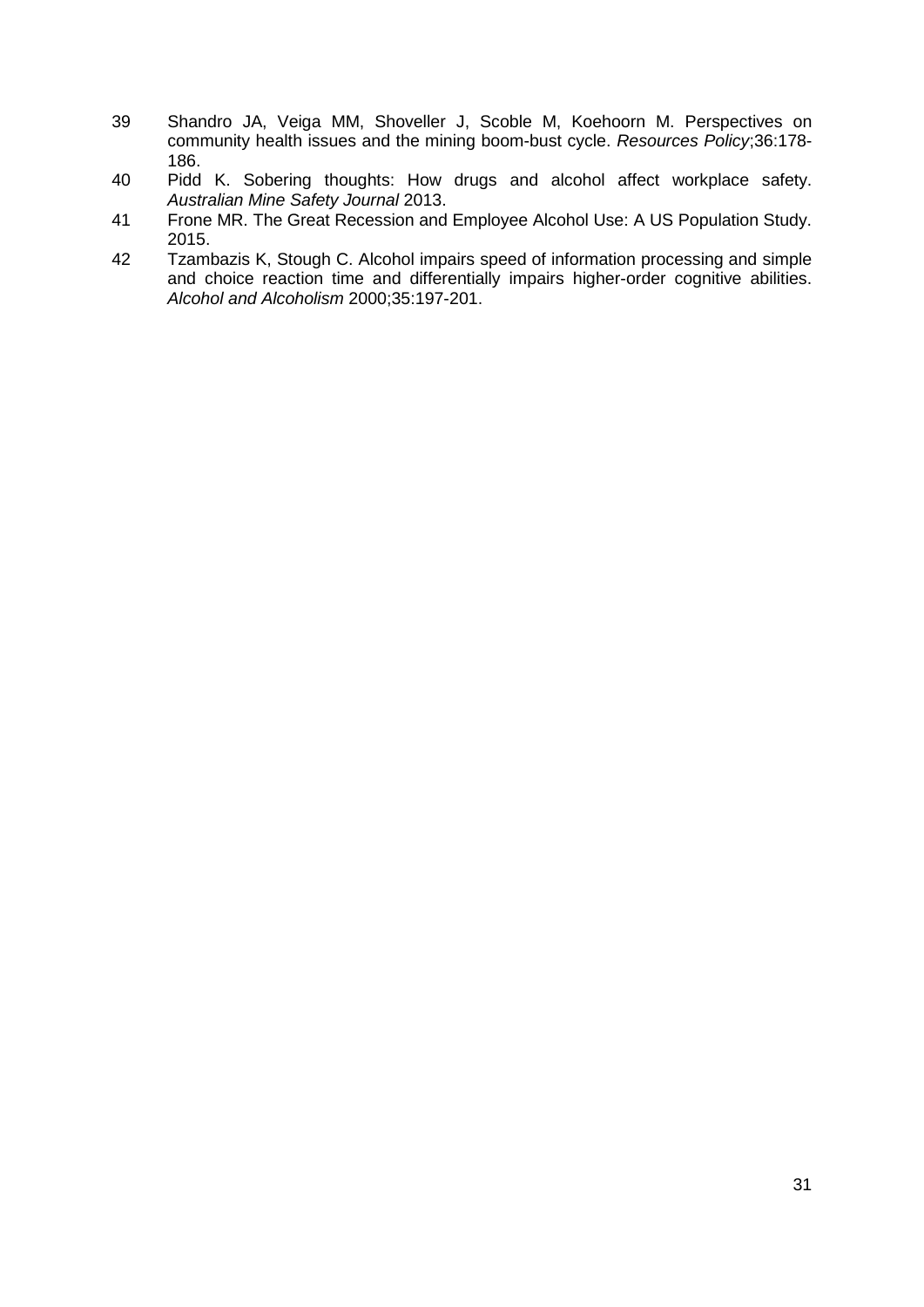- <span id="page-31-0"></span>39 Shandro JA, Veiga MM, Shoveller J, Scoble M, Koehoorn M. Perspectives on community health issues and the mining boom-bust cycle. *Resources Policy*;36:178- 186.
- <span id="page-31-1"></span>40 Pidd K. Sobering thoughts: How drugs and alcohol affect workplace safety. *Australian Mine Safety Journal* 2013.
- <span id="page-31-2"></span>41 Frone MR. The Great Recession and Employee Alcohol Use: A US Population Study. 2015.
- <span id="page-31-3"></span>42 Tzambazis K, Stough C. Alcohol impairs speed of information processing and simple and choice reaction time and differentially impairs higher-order cognitive abilities. *Alcohol and Alcoholism* 2000;35:197-201.